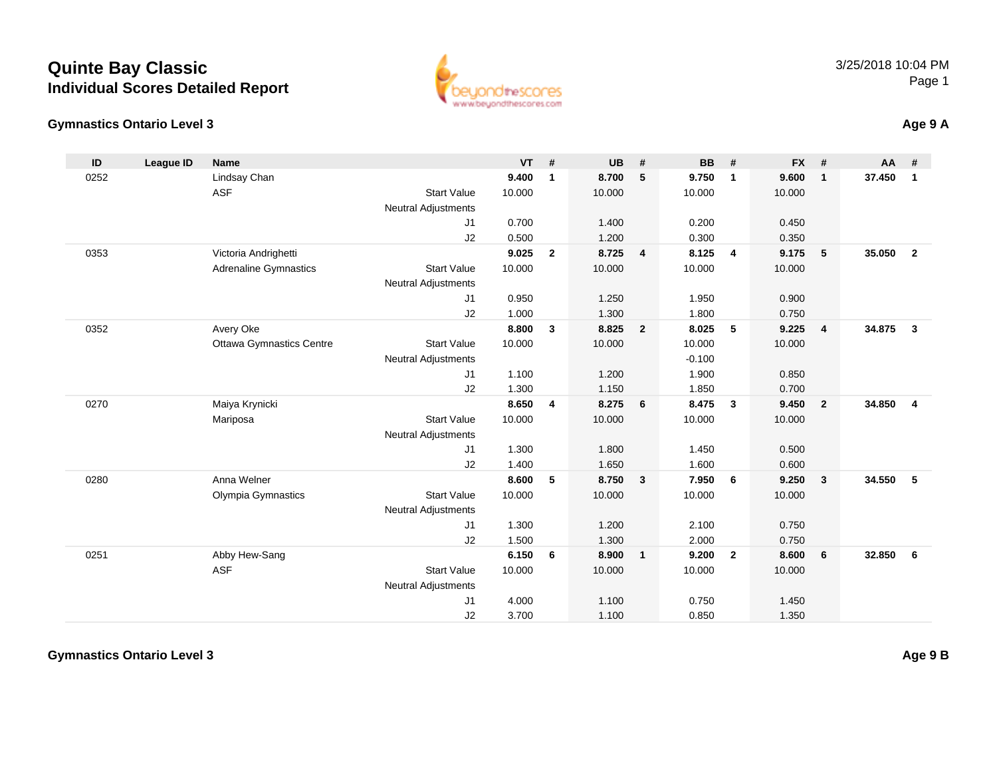### **Gymnastics Ontario Level 3**

| ID   | <b>League ID</b> | <b>Name</b>                     |                            | <b>VT</b> | #            | <b>UB</b> | #                       | <b>BB</b> | #              | <b>FX</b> | #              | AA     | #              |
|------|------------------|---------------------------------|----------------------------|-----------|--------------|-----------|-------------------------|-----------|----------------|-----------|----------------|--------|----------------|
| 0252 |                  | Lindsay Chan                    |                            | 9.400     | $\mathbf{1}$ | 8.700     | 5                       | 9.750     | $\overline{1}$ | 9.600     | $\mathbf{1}$   | 37.450 | $\overline{1}$ |
|      |                  | <b>ASF</b>                      | <b>Start Value</b>         | 10.000    |              | 10.000    |                         | 10.000    |                | 10.000    |                |        |                |
|      |                  |                                 | <b>Neutral Adjustments</b> |           |              |           |                         |           |                |           |                |        |                |
|      |                  |                                 | J <sub>1</sub>             | 0.700     |              | 1.400     |                         | 0.200     |                | 0.450     |                |        |                |
|      |                  |                                 | J2                         | 0.500     |              | 1.200     |                         | 0.300     |                | 0.350     |                |        |                |
| 0353 |                  | Victoria Andrighetti            |                            | 9.025     | $\mathbf{2}$ | 8.725     | $\overline{4}$          | 8.125     | $\overline{4}$ | 9.175     | 5              | 35.050 | $\overline{2}$ |
|      |                  | <b>Adrenaline Gymnastics</b>    | <b>Start Value</b>         | 10.000    |              | 10.000    |                         | 10.000    |                | 10.000    |                |        |                |
|      |                  |                                 | <b>Neutral Adjustments</b> |           |              |           |                         |           |                |           |                |        |                |
|      |                  |                                 | J1                         | 0.950     |              | 1.250     |                         | 1.950     |                | 0.900     |                |        |                |
|      |                  |                                 | J2                         | 1.000     |              | 1.300     |                         | 1.800     |                | 0.750     |                |        |                |
| 0352 |                  | Avery Oke                       |                            | 8.800     | 3            | 8.825     | $\overline{2}$          | 8.025     | 5              | 9.225     | $\overline{4}$ | 34.875 | $\mathbf{3}$   |
|      |                  | <b>Ottawa Gymnastics Centre</b> | <b>Start Value</b>         | 10.000    |              | 10.000    |                         | 10.000    |                | 10.000    |                |        |                |
|      |                  |                                 | <b>Neutral Adjustments</b> |           |              |           |                         | $-0.100$  |                |           |                |        |                |
|      |                  |                                 | J <sub>1</sub>             | 1.100     |              | 1.200     |                         | 1.900     |                | 0.850     |                |        |                |
|      |                  |                                 | J2                         | 1.300     |              | 1.150     |                         | 1.850     |                | 0.700     |                |        |                |
| 0270 |                  | Maiya Krynicki                  |                            | 8.650     | 4            | 8.275     | 6                       | 8.475     | $\mathbf{3}$   | 9.450     | $\overline{2}$ | 34.850 | $\overline{4}$ |
|      |                  | Mariposa                        | <b>Start Value</b>         | 10.000    |              | 10.000    |                         | 10.000    |                | 10.000    |                |        |                |
|      |                  |                                 | <b>Neutral Adjustments</b> |           |              |           |                         |           |                |           |                |        |                |
|      |                  |                                 | J1                         | 1.300     |              | 1.800     |                         | 1.450     |                | 0.500     |                |        |                |
|      |                  |                                 | J2                         | 1.400     |              | 1.650     |                         | 1.600     |                | 0.600     |                |        |                |
| 0280 |                  | Anna Welner                     |                            | 8.600     | 5            | 8.750     | $\mathbf{3}$            | 7.950     | 6              | 9.250     | $\mathbf{3}$   | 34.550 | 5              |
|      |                  | Olympia Gymnastics              | <b>Start Value</b>         | 10.000    |              | 10.000    |                         | 10.000    |                | 10.000    |                |        |                |
|      |                  |                                 | <b>Neutral Adjustments</b> |           |              |           |                         |           |                |           |                |        |                |
|      |                  |                                 | J1                         | 1.300     |              | 1.200     |                         | 2.100     |                | 0.750     |                |        |                |
|      |                  |                                 | J2                         | 1.500     |              | 1.300     |                         | 2.000     |                | 0.750     |                |        |                |
| 0251 |                  | Abby Hew-Sang                   |                            | 6.150     | 6            | 8.900     | $\overline{\mathbf{1}}$ | 9.200     | $\overline{2}$ | 8.600     | 6              | 32.850 | 6              |
|      |                  | <b>ASF</b>                      | <b>Start Value</b>         | 10.000    |              | 10.000    |                         | 10.000    |                | 10.000    |                |        |                |
|      |                  |                                 | <b>Neutral Adjustments</b> |           |              |           |                         |           |                |           |                |        |                |
|      |                  |                                 | J1                         | 4.000     |              | 1.100     |                         | 0.750     |                | 1.450     |                |        |                |
|      |                  |                                 | J2                         | 3.700     |              | 1.100     |                         | 0.850     |                | 1.350     |                |        |                |
|      |                  |                                 |                            |           |              |           |                         |           |                |           |                |        |                |

www.beyondthescores.com



**Age 9 A**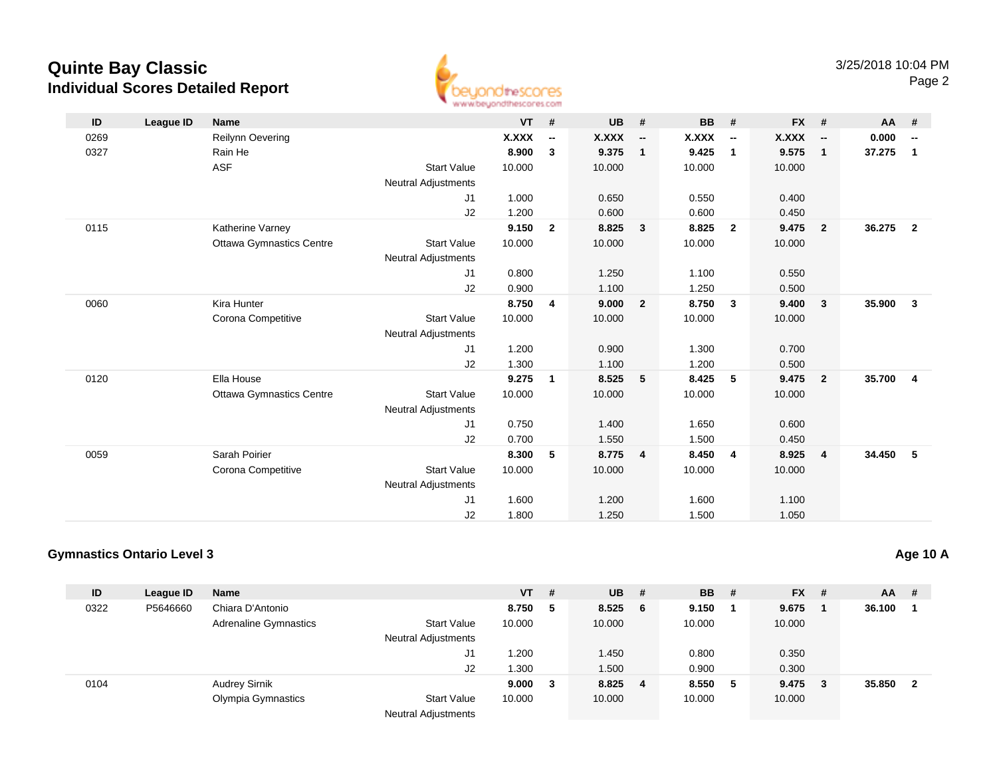

| ID   | League ID | <b>Name</b>                     |                            | $VT$ # |                          | <b>UB</b> | #                        | <b>BB</b> | #                        | FX #   |                          | <b>AA</b> | #                       |
|------|-----------|---------------------------------|----------------------------|--------|--------------------------|-----------|--------------------------|-----------|--------------------------|--------|--------------------------|-----------|-------------------------|
| 0269 |           | Reilynn Oevering                |                            | X.XXX  | $\overline{\phantom{a}}$ | X.XXX     | $\overline{\phantom{a}}$ | X.XXX     | $\overline{\phantom{a}}$ | X.XXX  | $\overline{\phantom{a}}$ | 0.000     | --                      |
| 0327 |           | Rain He                         |                            | 8.900  | $\mathbf{3}$             | 9.375     | $\mathbf{1}$             | 9.425     | $\overline{1}$           | 9.575  | $\overline{1}$           | 37.275    | $\overline{1}$          |
|      |           | <b>ASF</b>                      | <b>Start Value</b>         | 10.000 |                          | 10.000    |                          | 10.000    |                          | 10.000 |                          |           |                         |
|      |           |                                 | <b>Neutral Adjustments</b> |        |                          |           |                          |           |                          |        |                          |           |                         |
|      |           |                                 | J1                         | 1.000  |                          | 0.650     |                          | 0.550     |                          | 0.400  |                          |           |                         |
|      |           |                                 | J2                         | 1.200  |                          | 0.600     |                          | 0.600     |                          | 0.450  |                          |           |                         |
| 0115 |           | Katherine Varney                |                            | 9.150  | $\mathbf{2}$             | 8.825     | 3                        | 8.825     | $\overline{2}$           | 9.475  | $\overline{\mathbf{2}}$  | 36.275    | $\overline{\mathbf{2}}$ |
|      |           | <b>Ottawa Gymnastics Centre</b> | <b>Start Value</b>         | 10.000 |                          | 10.000    |                          | 10.000    |                          | 10.000 |                          |           |                         |
|      |           |                                 | <b>Neutral Adjustments</b> |        |                          |           |                          |           |                          |        |                          |           |                         |
|      |           |                                 | J1                         | 0.800  |                          | 1.250     |                          | 1.100     |                          | 0.550  |                          |           |                         |
|      |           |                                 | J2                         | 0.900  |                          | 1.100     |                          | 1.250     |                          | 0.500  |                          |           |                         |
| 0060 |           | Kira Hunter                     |                            | 8.750  | 4                        | 9.000     | $\overline{2}$           | 8.750     | $\overline{\mathbf{3}}$  | 9.400  | $\overline{\mathbf{3}}$  | 35.900    | $\mathbf{3}$            |
|      |           | Corona Competitive              | <b>Start Value</b>         | 10.000 |                          | 10.000    |                          | 10.000    |                          | 10.000 |                          |           |                         |
|      |           |                                 | Neutral Adjustments        |        |                          |           |                          |           |                          |        |                          |           |                         |
|      |           |                                 | J1                         | 1.200  |                          | 0.900     |                          | 1.300     |                          | 0.700  |                          |           |                         |
|      |           |                                 | J2                         | 1.300  |                          | 1.100     |                          | 1.200     |                          | 0.500  |                          |           |                         |
| 0120 |           | Ella House                      |                            | 9.275  | $\overline{1}$           | 8.525     | 5                        | 8.425     | 5                        | 9.475  | $\overline{\mathbf{2}}$  | 35.700    | $\overline{\mathbf{4}}$ |
|      |           | <b>Ottawa Gymnastics Centre</b> | <b>Start Value</b>         | 10.000 |                          | 10.000    |                          | 10.000    |                          | 10.000 |                          |           |                         |
|      |           |                                 | <b>Neutral Adjustments</b> |        |                          |           |                          |           |                          |        |                          |           |                         |
|      |           |                                 | J1                         | 0.750  |                          | 1.400     |                          | 1.650     |                          | 0.600  |                          |           |                         |
|      |           |                                 | J2                         | 0.700  |                          | 1.550     |                          | 1.500     |                          | 0.450  |                          |           |                         |
| 0059 |           | Sarah Poirier                   |                            | 8.300  | 5                        | 8.775     | $\overline{4}$           | 8.450     | $\overline{4}$           | 8.925  | $\overline{4}$           | 34.450    | - 5                     |
|      |           | Corona Competitive              | <b>Start Value</b>         | 10.000 |                          | 10.000    |                          | 10.000    |                          | 10.000 |                          |           |                         |
|      |           |                                 | <b>Neutral Adjustments</b> |        |                          |           |                          |           |                          |        |                          |           |                         |
|      |           |                                 | J <sub>1</sub>             | 1.600  |                          | 1.200     |                          | 1.600     |                          | 1.100  |                          |           |                         |
|      |           |                                 | J <sub>2</sub>             | 1.800  |                          | 1.250     |                          | 1.500     |                          | 1.050  |                          |           |                         |

### **Gymnastics Ontario Level 3**

| ID   | League ID | <b>Name</b>                  |                            | <b>VT</b> | # | <b>UB</b> | #   | <b>BB</b> | # | $FX$ # |     | AA     | -#                      |
|------|-----------|------------------------------|----------------------------|-----------|---|-----------|-----|-----------|---|--------|-----|--------|-------------------------|
| 0322 | P5646660  | Chiara D'Antonio             |                            | 8.750     | 5 | 8.525     | - 6 | 9.150     |   | 9.675  |     | 36.100 |                         |
|      |           | <b>Adrenaline Gymnastics</b> | <b>Start Value</b>         | 10.000    |   | 10.000    |     | 10.000    |   | 10.000 |     |        |                         |
|      |           |                              | <b>Neutral Adjustments</b> |           |   |           |     |           |   |        |     |        |                         |
|      |           |                              | J1                         | 1.200     |   | 1.450     |     | 0.800     |   | 0.350  |     |        |                         |
|      |           |                              | J2                         | 1.300     |   | 1.500     |     | 0.900     |   | 0.300  |     |        |                         |
| 0104 |           | <b>Audrey Sirnik</b>         |                            | 9.000     | 3 | 8.825 4   |     | 8.550     | 5 | 9.475  | - 3 | 35.850 | $\overline{\mathbf{2}}$ |
|      |           | Olympia Gymnastics           | <b>Start Value</b>         | 10.000    |   | 10.000    |     | 10.000    |   | 10.000 |     |        |                         |
|      |           |                              | <b>Neutral Adjustments</b> |           |   |           |     |           |   |        |     |        |                         |

**Age 10 A**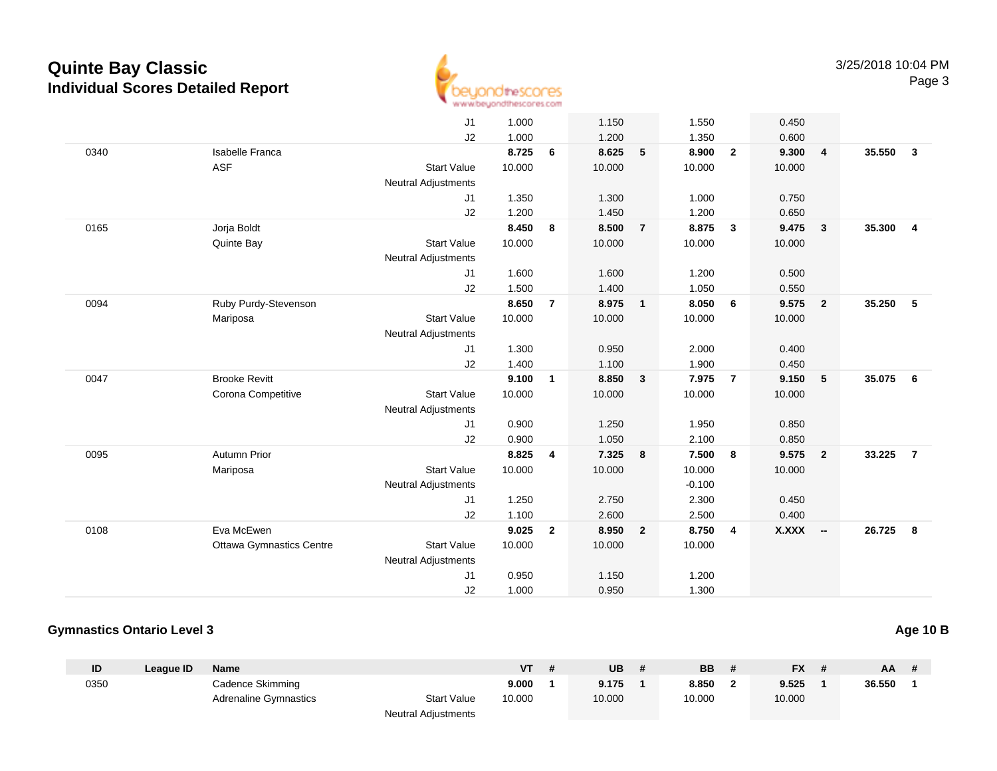

|      |                                 | J1                         | 1.000  |                | 1.150  |                          | 1.550    |                         | 0.450        |                          |          |                         |
|------|---------------------------------|----------------------------|--------|----------------|--------|--------------------------|----------|-------------------------|--------------|--------------------------|----------|-------------------------|
|      |                                 | J2                         | 1.000  |                | 1.200  |                          | 1.350    |                         | 0.600        |                          |          |                         |
| 0340 | <b>Isabelle Franca</b>          |                            | 8.725  | 6              | 8.625  | 5                        | 8.900    | $\overline{\mathbf{2}}$ | 9.300        | $\overline{4}$           | 35.550   | $\overline{\mathbf{3}}$ |
|      | <b>ASF</b>                      | <b>Start Value</b>         | 10.000 |                | 10.000 |                          | 10.000   |                         | 10.000       |                          |          |                         |
|      |                                 | <b>Neutral Adjustments</b> |        |                |        |                          |          |                         |              |                          |          |                         |
|      |                                 | J1                         | 1.350  |                | 1.300  |                          | 1.000    |                         | 0.750        |                          |          |                         |
|      |                                 | J2                         | 1.200  |                | 1.450  |                          | 1.200    |                         | 0.650        |                          |          |                         |
| 0165 | Jorja Boldt                     |                            | 8.450  | 8              | 8.500  | $\overline{7}$           | 8.875    | $\mathbf{3}$            | 9.475        | $\overline{\mathbf{3}}$  | 35.300   | $\overline{4}$          |
|      | Quinte Bay                      | <b>Start Value</b>         | 10.000 |                | 10.000 |                          | 10.000   |                         | 10.000       |                          |          |                         |
|      |                                 | <b>Neutral Adjustments</b> |        |                |        |                          |          |                         |              |                          |          |                         |
|      |                                 | J1                         | 1.600  |                | 1.600  |                          | 1.200    |                         | 0.500        |                          |          |                         |
|      |                                 | J2                         | 1.500  |                | 1.400  |                          | 1.050    |                         | 0.550        |                          |          |                         |
| 0094 | Ruby Purdy-Stevenson            |                            | 8.650  | $\overline{7}$ | 8.975  | $\overline{\phantom{a}}$ | 8.050    | $6\overline{6}$         | 9.575        | $\overline{\mathbf{2}}$  | 35.250   | 5                       |
|      | Mariposa                        | <b>Start Value</b>         | 10.000 |                | 10.000 |                          | 10.000   |                         | 10.000       |                          |          |                         |
|      |                                 | <b>Neutral Adjustments</b> |        |                |        |                          |          |                         |              |                          |          |                         |
|      |                                 | J1                         | 1.300  |                | 0.950  |                          | 2.000    |                         | 0.400        |                          |          |                         |
|      |                                 | J2                         | 1.400  |                | 1.100  |                          | 1.900    |                         | 0.450        |                          |          |                         |
| 0047 | <b>Brooke Revitt</b>            |                            | 9.100  | $\mathbf{1}$   | 8.850  | $\mathbf{3}$             | 7.975    | $\overline{7}$          | 9.150        | 5                        | 35.075 6 |                         |
|      | Corona Competitive              | <b>Start Value</b>         | 10.000 |                | 10.000 |                          | 10.000   |                         | 10.000       |                          |          |                         |
|      |                                 | <b>Neutral Adjustments</b> |        |                |        |                          |          |                         |              |                          |          |                         |
|      |                                 | J1                         | 0.900  |                | 1.250  |                          | 1.950    |                         | 0.850        |                          |          |                         |
|      |                                 | J2                         | 0.900  |                | 1.050  |                          | 2.100    |                         | 0.850        |                          |          |                         |
| 0095 | Autumn Prior                    |                            | 8.825  | 4              | 7.325  | $\overline{\mathbf{8}}$  | 7.500    | $\overline{\mathbf{8}}$ | 9.575        | $\overline{\mathbf{2}}$  | 33.225   | $\overline{7}$          |
|      | Mariposa                        | <b>Start Value</b>         | 10.000 |                | 10.000 |                          | 10.000   |                         | 10.000       |                          |          |                         |
|      |                                 | <b>Neutral Adjustments</b> |        |                |        |                          | $-0.100$ |                         |              |                          |          |                         |
|      |                                 | J1                         | 1.250  |                | 2.750  |                          | 2.300    |                         | 0.450        |                          |          |                         |
|      |                                 | J2                         | 1.100  |                | 2.600  |                          | 2.500    |                         | 0.400        |                          |          |                         |
| 0108 | Eva McEwen                      |                            | 9.025  | $\mathbf{2}$   | 8.950  | $\overline{2}$           | 8.750    | $\overline{4}$          | <b>X.XXX</b> | $\overline{\phantom{a}}$ | 26.725   | 8                       |
|      | <b>Ottawa Gymnastics Centre</b> | <b>Start Value</b>         | 10.000 |                | 10.000 |                          | 10.000   |                         |              |                          |          |                         |
|      |                                 | <b>Neutral Adjustments</b> |        |                |        |                          |          |                         |              |                          |          |                         |
|      |                                 | J1                         | 0.950  |                | 1.150  |                          | 1.200    |                         |              |                          |          |                         |
|      |                                 | J2                         | 1.000  |                | 0.950  |                          | 1.300    |                         |              |                          |          |                         |
|      |                                 |                            |        |                |        |                          |          |                         |              |                          |          |                         |

#### **Gymnastics Ontario Level 3**

**ID League ID Name VT # UB # BB # FX # AA #** 0350 Cadence Skimming **9.000 <sup>1</sup> 9.175 <sup>1</sup> 8.850 <sup>2</sup> 9.525 <sup>1</sup> 36.550 <sup>1</sup>** Adrenaline Gymnastics Start Valuee 10.000 10.000 10.000 10.000 Neutral Adjustments

**Age 10 B**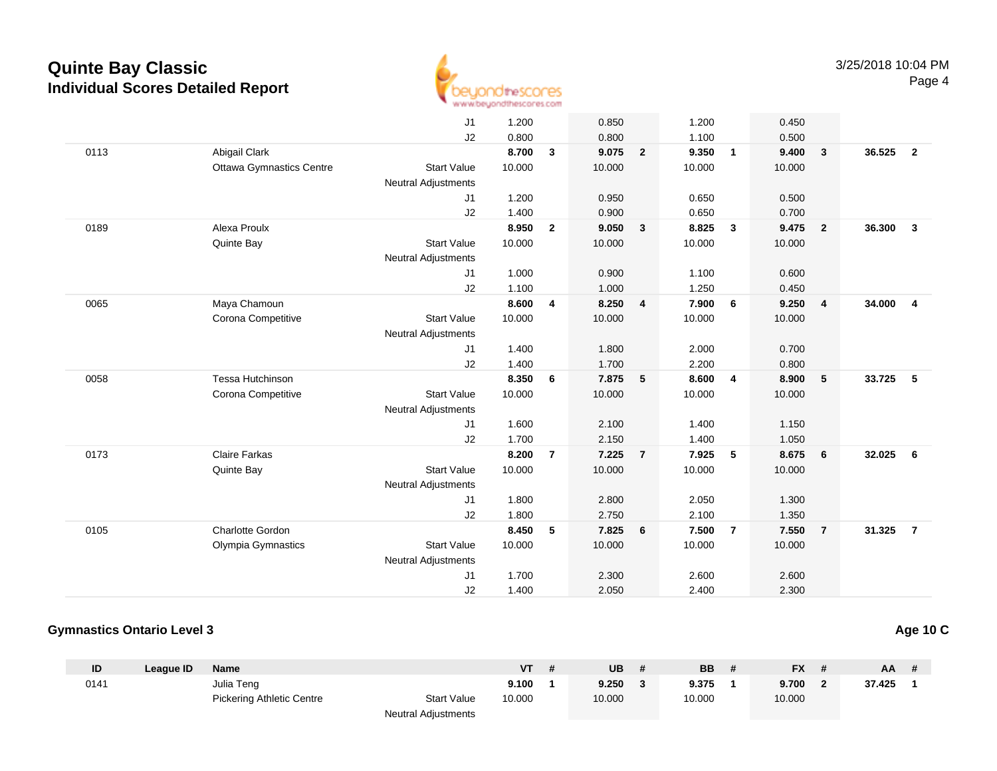

|      |                                 | J <sub>1</sub>             | 1.200  |                | 0.850  |                 | 1.200  |                | 0.450  |                 |        |                         |
|------|---------------------------------|----------------------------|--------|----------------|--------|-----------------|--------|----------------|--------|-----------------|--------|-------------------------|
|      |                                 | J2                         | 0.800  |                | 0.800  |                 | 1.100  |                | 0.500  |                 |        |                         |
| 0113 | Abigail Clark                   |                            | 8.700  | 3              | 9.075  | $\overline{2}$  | 9.350  | $\overline{1}$ | 9.400  | $\mathbf{3}$    | 36.525 | $\overline{2}$          |
|      | <b>Ottawa Gymnastics Centre</b> | <b>Start Value</b>         | 10.000 |                | 10.000 |                 | 10.000 |                | 10.000 |                 |        |                         |
|      |                                 | <b>Neutral Adjustments</b> |        |                |        |                 |        |                |        |                 |        |                         |
|      |                                 | J1                         | 1.200  |                | 0.950  |                 | 0.650  |                | 0.500  |                 |        |                         |
|      |                                 | J <sub>2</sub>             | 1.400  |                | 0.900  |                 | 0.650  |                | 0.700  |                 |        |                         |
| 0189 | Alexa Proulx                    |                            | 8.950  | $\overline{2}$ | 9.050  | $\mathbf{3}$    | 8.825  | $\mathbf{3}$   | 9.475  | $\overline{2}$  | 36,300 | $\mathbf{3}$            |
|      | Quinte Bay                      | <b>Start Value</b>         | 10.000 |                | 10.000 |                 | 10.000 |                | 10.000 |                 |        |                         |
|      |                                 | <b>Neutral Adjustments</b> |        |                |        |                 |        |                |        |                 |        |                         |
|      |                                 | J1                         | 1.000  |                | 0.900  |                 | 1.100  |                | 0.600  |                 |        |                         |
|      |                                 | J2                         | 1.100  |                | 1.000  |                 | 1.250  |                | 0.450  |                 |        |                         |
| 0065 | Maya Chamoun                    |                            | 8.600  | 4              | 8.250  | $\overline{4}$  | 7.900  | 6              | 9.250  | $\overline{4}$  | 34.000 | $\overline{\mathbf{4}}$ |
|      | Corona Competitive              | <b>Start Value</b>         | 10.000 |                | 10.000 |                 | 10.000 |                | 10.000 |                 |        |                         |
|      |                                 | <b>Neutral Adjustments</b> |        |                |        |                 |        |                |        |                 |        |                         |
|      |                                 | J <sub>1</sub>             | 1.400  |                | 1.800  |                 | 2.000  |                | 0.700  |                 |        |                         |
|      |                                 | J2                         | 1.400  |                | 1.700  |                 | 2.200  |                | 0.800  |                 |        |                         |
| 0058 | Tessa Hutchinson                |                            | 8.350  | 6              | 7.875  | $5\phantom{.0}$ | 8.600  | $\overline{4}$ | 8.900  | $5\phantom{.0}$ | 33.725 | 5                       |
|      | Corona Competitive              | <b>Start Value</b>         | 10.000 |                | 10.000 |                 | 10.000 |                | 10.000 |                 |        |                         |
|      |                                 | <b>Neutral Adjustments</b> |        |                |        |                 |        |                |        |                 |        |                         |
|      |                                 | J1                         | 1.600  |                | 2.100  |                 | 1.400  |                | 1.150  |                 |        |                         |
|      |                                 | J2                         | 1.700  |                | 2.150  |                 | 1.400  |                | 1.050  |                 |        |                         |
| 0173 | <b>Claire Farkas</b>            |                            | 8.200  | $\overline{7}$ | 7.225  | $\overline{7}$  | 7.925  | 5              | 8.675  | 6               | 32.025 | 6                       |
|      | Quinte Bay                      | <b>Start Value</b>         | 10.000 |                | 10.000 |                 | 10.000 |                | 10.000 |                 |        |                         |
|      |                                 | <b>Neutral Adjustments</b> |        |                |        |                 |        |                |        |                 |        |                         |
|      |                                 | J <sub>1</sub>             | 1.800  |                | 2.800  |                 | 2.050  |                | 1.300  |                 |        |                         |
|      |                                 | J2                         | 1.800  |                | 2.750  |                 | 2.100  |                | 1.350  |                 |        |                         |
| 0105 | <b>Charlotte Gordon</b>         |                            | 8.450  | 5              | 7.825  | 6               | 7.500  | $\overline{7}$ | 7.550  | $\overline{7}$  | 31.325 | $\overline{7}$          |
|      | Olympia Gymnastics              | <b>Start Value</b>         | 10.000 |                | 10.000 |                 | 10.000 |                | 10.000 |                 |        |                         |
|      |                                 | <b>Neutral Adjustments</b> |        |                |        |                 |        |                |        |                 |        |                         |
|      |                                 | J1                         | 1.700  |                | 2.300  |                 | 2.600  |                | 2.600  |                 |        |                         |
|      |                                 | J2                         | 1.400  |                | 2.050  |                 | 2.400  |                | 2.300  |                 |        |                         |
|      |                                 |                            |        |                |        |                 |        |                |        |                 |        |                         |

#### **Gymnastics Ontario Level 3**

**ID League ID Name VT # UB # BB # FX # AA #** 0141 Julia Teng **9.100 <sup>1</sup> 9.250 <sup>3</sup> 9.375 <sup>1</sup> 9.700 <sup>2</sup> 37.425 <sup>1</sup>** Pickering Athletic Centre Start Value 10.000 10.000 10.000 10.000 Neutral Adjustments

**Age 10 C**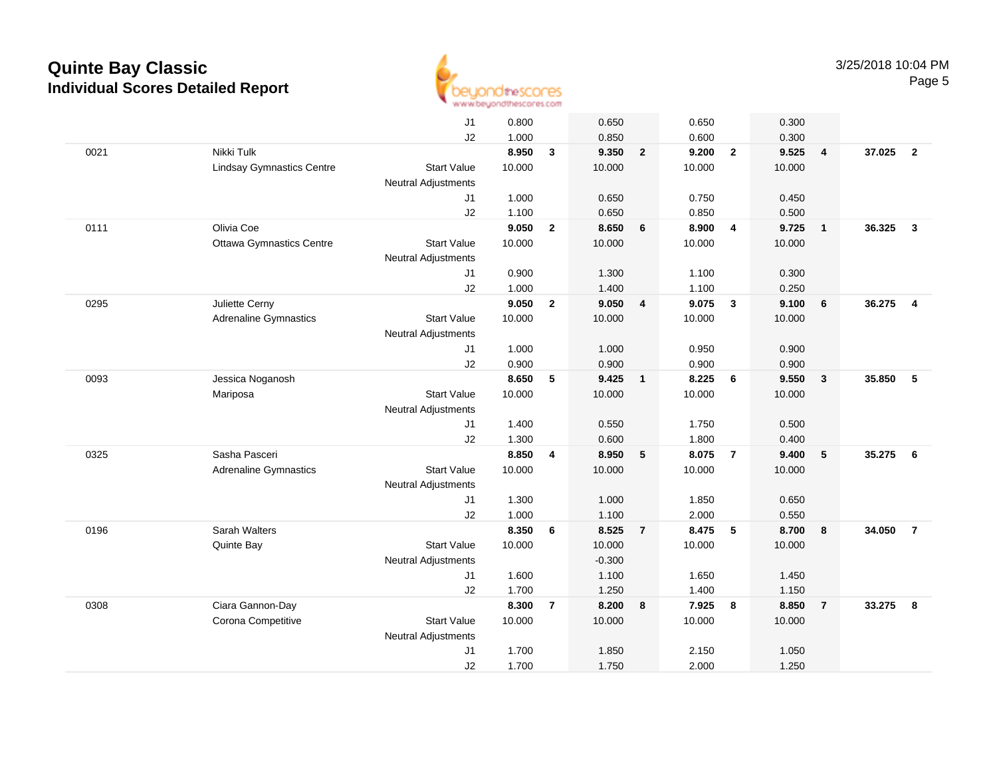

|      |                                  | J1                         | 0.800  |                | 0.650    |                         | 0.650  |                         | 0.300  |                |        |                         |
|------|----------------------------------|----------------------------|--------|----------------|----------|-------------------------|--------|-------------------------|--------|----------------|--------|-------------------------|
|      |                                  | J2                         | 1.000  |                | 0.850    |                         | 0.600  |                         | 0.300  |                |        |                         |
| 0021 | Nikki Tulk                       |                            | 8.950  | 3              | 9.350    | $\overline{2}$          | 9.200  | $\overline{2}$          | 9.525  | $\overline{4}$ | 37.025 | $\overline{2}$          |
|      | <b>Lindsay Gymnastics Centre</b> | <b>Start Value</b>         | 10.000 |                | 10.000   |                         | 10.000 |                         | 10.000 |                |        |                         |
|      |                                  | <b>Neutral Adjustments</b> |        |                |          |                         |        |                         |        |                |        |                         |
|      |                                  | J1                         | 1.000  |                | 0.650    |                         | 0.750  |                         | 0.450  |                |        |                         |
|      |                                  | J2                         | 1.100  |                | 0.650    |                         | 0.850  |                         | 0.500  |                |        |                         |
| 0111 | Olivia Coe                       |                            | 9.050  | $\mathbf{2}$   | 8.650    | 6                       | 8.900  | $\overline{4}$          | 9.725  | $\overline{1}$ | 36.325 | $\mathbf{3}$            |
|      | <b>Ottawa Gymnastics Centre</b>  | <b>Start Value</b>         | 10.000 |                | 10.000   |                         | 10.000 |                         | 10.000 |                |        |                         |
|      |                                  | <b>Neutral Adjustments</b> |        |                |          |                         |        |                         |        |                |        |                         |
|      |                                  | J1                         | 0.900  |                | 1.300    |                         | 1.100  |                         | 0.300  |                |        |                         |
|      |                                  | J2                         | 1.000  |                | 1.400    |                         | 1.100  |                         | 0.250  |                |        |                         |
| 0295 | Juliette Cerny                   |                            | 9.050  | $\mathbf{2}$   | 9.050    | $\overline{\mathbf{4}}$ | 9.075  | $\overline{\mathbf{3}}$ | 9.100  | 6              | 36.275 | $\overline{\mathbf{4}}$ |
|      | <b>Adrenaline Gymnastics</b>     | <b>Start Value</b>         | 10.000 |                | 10.000   |                         | 10.000 |                         | 10.000 |                |        |                         |
|      |                                  | <b>Neutral Adjustments</b> |        |                |          |                         |        |                         |        |                |        |                         |
|      |                                  | J1                         | 1.000  |                | 1.000    |                         | 0.950  |                         | 0.900  |                |        |                         |
|      |                                  | J2                         | 0.900  |                | 0.900    |                         | 0.900  |                         | 0.900  |                |        |                         |
| 0093 | Jessica Noganosh                 |                            | 8.650  | 5              | 9.425    | $\overline{\mathbf{1}}$ | 8.225  | 6                       | 9.550  | $\mathbf{3}$   | 35.850 | 5                       |
|      | Mariposa                         | <b>Start Value</b>         | 10.000 |                | 10.000   |                         | 10.000 |                         | 10.000 |                |        |                         |
|      |                                  | <b>Neutral Adjustments</b> |        |                |          |                         |        |                         |        |                |        |                         |
|      |                                  | J1                         | 1.400  |                | 0.550    |                         | 1.750  |                         | 0.500  |                |        |                         |
|      |                                  | J2                         | 1.300  |                | 0.600    |                         | 1.800  |                         | 0.400  |                |        |                         |
| 0325 | Sasha Pasceri                    |                            | 8.850  | 4              | 8.950    | 5                       | 8.075  | $\overline{7}$          | 9.400  | 5              | 35.275 | - 6                     |
|      | Adrenaline Gymnastics            | <b>Start Value</b>         | 10.000 |                | 10.000   |                         | 10.000 |                         | 10.000 |                |        |                         |
|      |                                  | <b>Neutral Adjustments</b> |        |                |          |                         |        |                         |        |                |        |                         |
|      |                                  | J1                         | 1.300  |                | 1.000    |                         | 1.850  |                         | 0.650  |                |        |                         |
|      |                                  | J2                         | 1.000  |                | 1.100    |                         | 2.000  |                         | 0.550  |                |        |                         |
| 0196 | Sarah Walters                    |                            | 8.350  | 6              | 8.525    | $\overline{7}$          | 8.475  | $\sqrt{5}$              | 8.700  | 8              | 34.050 | $\overline{7}$          |
|      | Quinte Bay                       | <b>Start Value</b>         | 10.000 |                | 10.000   |                         | 10.000 |                         | 10.000 |                |        |                         |
|      |                                  | <b>Neutral Adjustments</b> |        |                | $-0.300$ |                         |        |                         |        |                |        |                         |
|      |                                  | J1                         | 1.600  |                | 1.100    |                         | 1.650  |                         | 1.450  |                |        |                         |
|      |                                  | J2                         | 1.700  |                | 1.250    |                         | 1.400  |                         | 1.150  |                |        |                         |
| 0308 | Ciara Gannon-Day                 |                            | 8.300  | $\overline{7}$ | 8.200    | 8                       | 7.925  | 8                       | 8.850  | $\overline{7}$ | 33.275 | 8                       |
|      | Corona Competitive               | <b>Start Value</b>         | 10.000 |                | 10.000   |                         | 10.000 |                         | 10.000 |                |        |                         |
|      |                                  | <b>Neutral Adjustments</b> |        |                |          |                         |        |                         |        |                |        |                         |
|      |                                  | J <sub>1</sub>             | 1.700  |                | 1.850    |                         | 2.150  |                         | 1.050  |                |        |                         |
|      |                                  | J2                         | 1.700  |                | 1.750    |                         | 2.000  |                         | 1.250  |                |        |                         |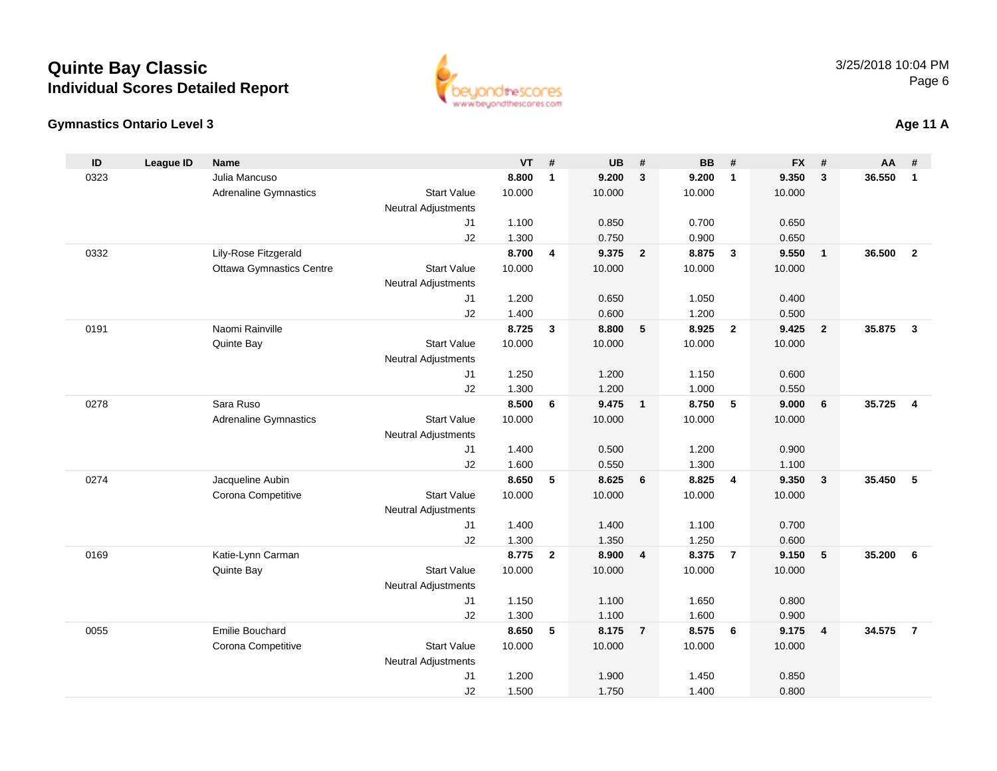#### **Gymnastics Ontario Level 3**

| ID   | <b>League ID</b> | <b>Name</b>                     |                            | <b>VT</b> | #            | <b>UB</b> | #                       | <b>BB</b> | #                       | <b>FX</b> | #                       | AA     | #              |
|------|------------------|---------------------------------|----------------------------|-----------|--------------|-----------|-------------------------|-----------|-------------------------|-----------|-------------------------|--------|----------------|
| 0323 |                  | Julia Mancuso                   |                            | 8.800     | $\mathbf{1}$ | 9.200     | $\mathbf{3}$            | 9.200     | $\mathbf{1}$            | 9.350     | 3                       | 36.550 | $\mathbf{1}$   |
|      |                  | <b>Adrenaline Gymnastics</b>    | <b>Start Value</b>         | 10.000    |              | 10.000    |                         | 10.000    |                         | 10.000    |                         |        |                |
|      |                  |                                 | <b>Neutral Adjustments</b> |           |              |           |                         |           |                         |           |                         |        |                |
|      |                  |                                 | J <sub>1</sub>             | 1.100     |              | 0.850     |                         | 0.700     |                         | 0.650     |                         |        |                |
|      |                  |                                 | J2                         | 1.300     |              | 0.750     |                         | 0.900     |                         | 0.650     |                         |        |                |
| 0332 |                  | Lily-Rose Fitzgerald            |                            | 8.700     | 4            | 9.375     | $\overline{2}$          | 8.875     | $\mathbf{3}$            | 9.550     | $\overline{1}$          | 36.500 | $\overline{2}$ |
|      |                  | <b>Ottawa Gymnastics Centre</b> | <b>Start Value</b>         | 10.000    |              | 10.000    |                         | 10.000    |                         | 10.000    |                         |        |                |
|      |                  |                                 | <b>Neutral Adjustments</b> |           |              |           |                         |           |                         |           |                         |        |                |
|      |                  |                                 | J <sub>1</sub>             | 1.200     |              | 0.650     |                         | 1.050     |                         | 0.400     |                         |        |                |
|      |                  |                                 | J2                         | 1.400     |              | 0.600     |                         | 1.200     |                         | 0.500     |                         |        |                |
| 0191 |                  | Naomi Rainville                 |                            | 8.725     | 3            | 8.800     | 5                       | 8.925     | $\overline{2}$          | 9.425     | $\overline{2}$          | 35.875 | $\mathbf{3}$   |
|      |                  | Quinte Bay                      | <b>Start Value</b>         | 10.000    |              | 10.000    |                         | 10.000    |                         | 10.000    |                         |        |                |
|      |                  |                                 | <b>Neutral Adjustments</b> |           |              |           |                         |           |                         |           |                         |        |                |
|      |                  |                                 | J <sub>1</sub>             | 1.250     |              | 1.200     |                         | 1.150     |                         | 0.600     |                         |        |                |
|      |                  |                                 | J2                         | 1.300     |              | 1.200     |                         | 1.000     |                         | 0.550     |                         |        |                |
| 0278 |                  | Sara Ruso                       |                            | 8.500     | 6            | 9.475     | $\overline{\mathbf{1}}$ | 8.750     | ${\bf 5}$               | 9.000     | $6\phantom{1}6$         | 35.725 | $\overline{4}$ |
|      |                  | <b>Adrenaline Gymnastics</b>    | <b>Start Value</b>         | 10.000    |              | 10.000    |                         | 10.000    |                         | 10.000    |                         |        |                |
|      |                  |                                 | <b>Neutral Adjustments</b> |           |              |           |                         |           |                         |           |                         |        |                |
|      |                  |                                 | J <sub>1</sub>             | 1.400     |              | 0.500     |                         | 1.200     |                         | 0.900     |                         |        |                |
|      |                  |                                 | J2                         | 1.600     |              | 0.550     |                         | 1.300     |                         | 1.100     |                         |        |                |
| 0274 |                  | Jacqueline Aubin                |                            | 8.650     | 5            | 8.625     | 6                       | 8.825     | $\overline{\mathbf{4}}$ | 9.350     | $\overline{\mathbf{3}}$ | 35.450 | 5              |
|      |                  | Corona Competitive              | <b>Start Value</b>         | 10.000    |              | 10.000    |                         | 10.000    |                         | 10.000    |                         |        |                |
|      |                  |                                 | <b>Neutral Adjustments</b> |           |              |           |                         |           |                         |           |                         |        |                |
|      |                  |                                 | J <sub>1</sub>             | 1.400     |              | 1.400     |                         | 1.100     |                         | 0.700     |                         |        |                |
|      |                  |                                 | J2                         | 1.300     |              | 1.350     |                         | 1.250     |                         | 0.600     |                         |        |                |
| 0169 |                  | Katie-Lynn Carman               |                            | 8.775     | $\mathbf{2}$ | 8.900     | $\overline{4}$          | 8.375     | $\overline{7}$          | 9.150     | 5                       | 35.200 | 6              |
|      |                  | Quinte Bay                      | <b>Start Value</b>         | 10.000    |              | 10.000    |                         | 10.000    |                         | 10.000    |                         |        |                |
|      |                  |                                 | <b>Neutral Adjustments</b> |           |              |           |                         |           |                         |           |                         |        |                |
|      |                  |                                 | J <sub>1</sub>             | 1.150     |              | 1.100     |                         | 1.650     |                         | 0.800     |                         |        |                |
|      |                  |                                 | J2                         | 1.300     |              | 1.100     |                         | 1.600     |                         | 0.900     |                         |        |                |
| 0055 |                  | <b>Emilie Bouchard</b>          |                            | 8.650     | 5            | 8.175     | $\overline{7}$          | 8.575     | 6                       | 9.175     | $\overline{4}$          | 34.575 | $\overline{7}$ |
|      |                  | Corona Competitive              | <b>Start Value</b>         | 10.000    |              | 10.000    |                         | 10.000    |                         | 10.000    |                         |        |                |
|      |                  |                                 | <b>Neutral Adjustments</b> |           |              |           |                         |           |                         |           |                         |        |                |
|      |                  |                                 | J <sub>1</sub>             | 1.200     |              | 1.900     |                         | 1.450     |                         | 0.850     |                         |        |                |
|      |                  |                                 | J2                         | 1.500     |              | 1.750     |                         | 1.400     |                         | 0.800     |                         |        |                |

1.500 1.750 1.400 0.800



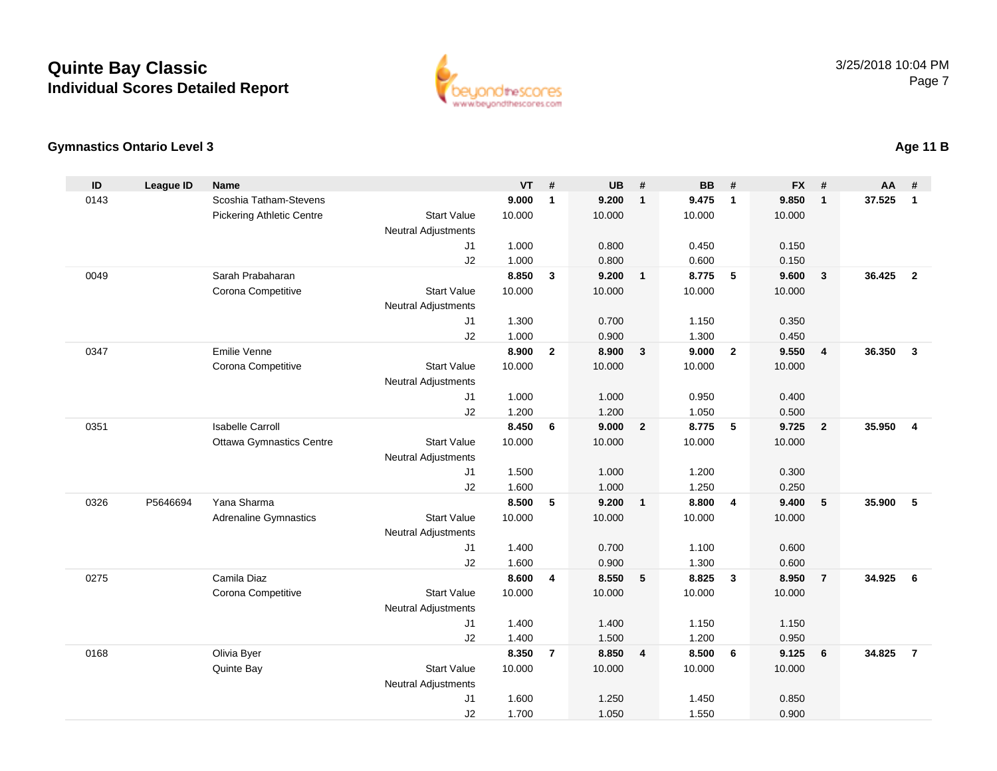

### **Gymnastics Ontario Level 3**

| ID   | <b>League ID</b> | <b>Name</b>                      |                            | <b>VT</b>       | #              | <b>UB</b>       | #                       | <b>BB</b>       | #                       | <b>FX</b>       | #                       | <b>AA</b> | #              |
|------|------------------|----------------------------------|----------------------------|-----------------|----------------|-----------------|-------------------------|-----------------|-------------------------|-----------------|-------------------------|-----------|----------------|
| 0143 |                  | Scoshia Tatham-Stevens           |                            | 9.000           | $\mathbf{1}$   | 9.200           | $\mathbf{1}$            | 9.475           | $\mathbf 1$             | 9.850           | $\mathbf{1}$            | 37.525    | $\mathbf{1}$   |
|      |                  | <b>Pickering Athletic Centre</b> | <b>Start Value</b>         | 10.000          |                | 10.000          |                         | 10.000          |                         | 10.000          |                         |           |                |
|      |                  |                                  | Neutral Adjustments        |                 |                |                 |                         |                 |                         |                 |                         |           |                |
|      |                  |                                  | J <sub>1</sub>             | 1.000           |                | 0.800           |                         | 0.450           |                         | 0.150           |                         |           |                |
|      |                  |                                  | J2                         | 1.000           |                | 0.800           |                         | 0.600           |                         | 0.150           |                         |           |                |
| 0049 |                  | Sarah Prabaharan                 |                            | 8.850           | 3              | 9.200           | $\overline{1}$          | 8.775           | 5                       | 9.600           | $\mathbf{3}$            | 36.425    | $\overline{2}$ |
|      |                  | Corona Competitive               | <b>Start Value</b>         | 10.000          |                | 10.000          |                         | 10.000          |                         | 10.000          |                         |           |                |
|      |                  |                                  | Neutral Adjustments        |                 |                |                 |                         |                 |                         |                 |                         |           |                |
|      |                  |                                  | J <sub>1</sub>             | 1.300           |                | 0.700           |                         | 1.150           |                         | 0.350           |                         |           |                |
|      |                  |                                  | J2                         | 1.000           |                | 0.900           |                         | 1.300           |                         | 0.450           |                         |           |                |
| 0347 |                  | Emilie Venne                     |                            | 8.900           | $\mathbf{2}$   | 8.900           | $\mathbf{3}$            | 9.000           | $\overline{2}$          | 9.550           | $\overline{\mathbf{4}}$ | 36.350    | $\overline{3}$ |
|      |                  | Corona Competitive               | <b>Start Value</b>         | 10.000          |                | 10.000          |                         | 10.000          |                         | 10.000          |                         |           |                |
|      |                  |                                  | <b>Neutral Adjustments</b> |                 |                |                 |                         |                 |                         |                 |                         |           |                |
|      |                  |                                  | J1                         | 1.000           |                | 1.000           |                         | 0.950           |                         | 0.400           |                         |           |                |
|      |                  |                                  | J2                         | 1.200           |                | 1.200           |                         | 1.050           |                         | 0.500           |                         |           |                |
| 0351 |                  | <b>Isabelle Carroll</b>          |                            | 8.450           | 6              | 9.000           | $\overline{2}$          | 8.775           | 5                       | 9.725           | $\overline{2}$          | 35.950    | $\overline{4}$ |
|      |                  | <b>Ottawa Gymnastics Centre</b>  | <b>Start Value</b>         | 10.000          |                | 10.000          |                         | 10.000          |                         | 10.000          |                         |           |                |
|      |                  |                                  | <b>Neutral Adjustments</b> |                 |                |                 |                         |                 |                         |                 |                         |           |                |
|      |                  |                                  | J <sub>1</sub>             | 1.500           |                | 1.000           |                         | 1.200           |                         | 0.300           |                         |           |                |
|      |                  |                                  | J2                         | 1.600           |                | 1.000           |                         | 1.250           |                         | 0.250           |                         |           |                |
| 0326 | P5646694         | Yana Sharma                      |                            | 8.500           | 5              | 9.200           | $\overline{\mathbf{1}}$ | 8.800           | $\overline{4}$          | 9.400           | 5                       | 35.900    | 5              |
|      |                  | <b>Adrenaline Gymnastics</b>     | <b>Start Value</b>         | 10.000          |                | 10.000          |                         | 10.000          |                         | 10.000          |                         |           |                |
|      |                  |                                  | <b>Neutral Adjustments</b> |                 |                |                 |                         |                 |                         |                 |                         |           |                |
|      |                  |                                  | J1                         | 1.400           |                | 0.700           |                         | 1.100           |                         | 0.600           |                         |           |                |
|      |                  | Camila Diaz                      | J2                         | 1.600           |                | 0.900           |                         | 1.300           |                         | 0.600           |                         | 34.925    |                |
| 0275 |                  | Corona Competitive               | <b>Start Value</b>         | 8.600<br>10.000 | 4              | 8.550<br>10.000 | 5                       | 8.825<br>10.000 | $\overline{\mathbf{3}}$ | 8.950<br>10.000 | $\overline{7}$          |           | 6              |
|      |                  |                                  |                            |                 |                |                 |                         |                 |                         |                 |                         |           |                |
|      |                  |                                  | Neutral Adjustments        | 1.400           |                | 1.400           |                         | 1.150           |                         | 1.150           |                         |           |                |
|      |                  |                                  | J1                         | 1.400           |                | 1.500           |                         |                 |                         |                 |                         |           |                |
| 0168 |                  | Olivia Byer                      | J2                         | 8.350           | $\overline{7}$ | 8.850           | $\overline{4}$          | 1.200<br>8.500  | 6                       | 0.950<br>9.125  | 6                       | 34.825    | $\overline{7}$ |
|      |                  | Quinte Bay                       | <b>Start Value</b>         | 10.000          |                | 10.000          |                         | 10.000          |                         | 10.000          |                         |           |                |
|      |                  |                                  | Neutral Adjustments        |                 |                |                 |                         |                 |                         |                 |                         |           |                |
|      |                  |                                  | J1                         | 1.600           |                | 1.250           |                         | 1.450           |                         | 0.850           |                         |           |                |
|      |                  |                                  | J2                         | 1.700           |                | 1.050           |                         | 1.550           |                         | 0.900           |                         |           |                |
|      |                  |                                  |                            |                 |                |                 |                         |                 |                         |                 |                         |           |                |

### **Age 11 B**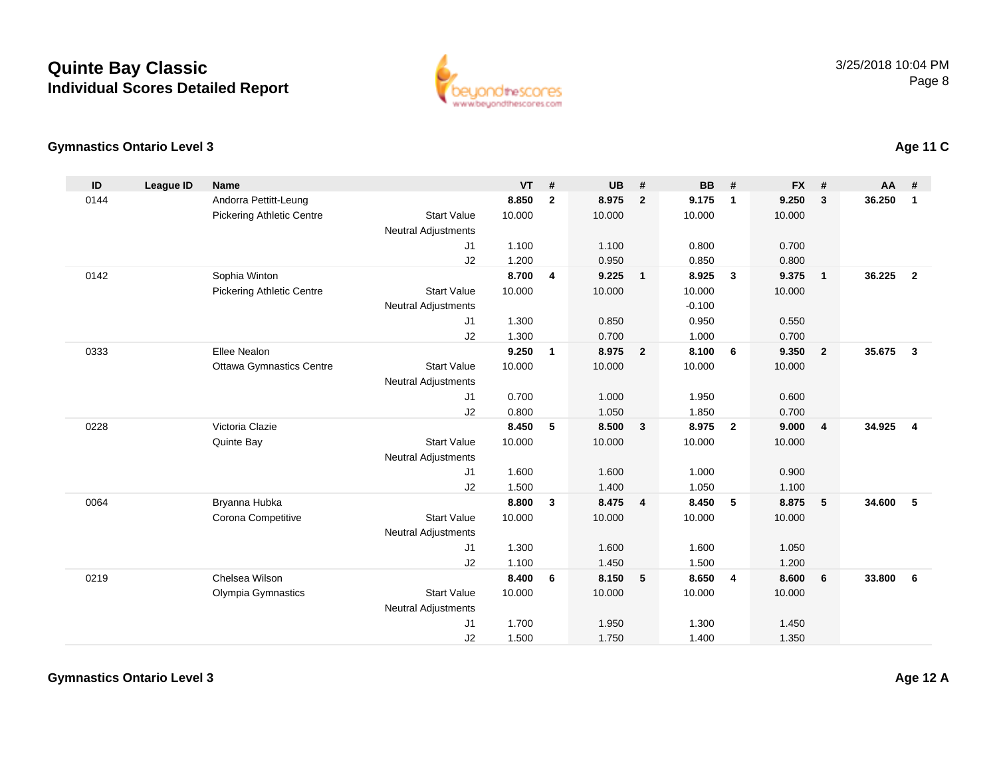

### **Gymnastics Ontario Level 3**

| ID   | <b>League ID</b> | <b>Name</b>                      |                            | <b>VT</b> | #            | <b>UB</b> | #                       | <b>BB</b> | #              | <b>FX</b> | #               | $AA$ # |                |
|------|------------------|----------------------------------|----------------------------|-----------|--------------|-----------|-------------------------|-----------|----------------|-----------|-----------------|--------|----------------|
| 0144 |                  | Andorra Pettitt-Leung            |                            | 8.850     | $\mathbf{2}$ | 8.975     | $\overline{2}$          | 9.175     | $\mathbf{1}$   | 9.250     | $\mathbf{3}$    | 36.250 | $\mathbf{1}$   |
|      |                  | <b>Pickering Athletic Centre</b> | <b>Start Value</b>         | 10.000    |              | 10.000    |                         | 10.000    |                | 10.000    |                 |        |                |
|      |                  |                                  | <b>Neutral Adjustments</b> |           |              |           |                         |           |                |           |                 |        |                |
|      |                  |                                  | J1                         | 1.100     |              | 1.100     |                         | 0.800     |                | 0.700     |                 |        |                |
|      |                  |                                  | J2                         | 1.200     |              | 0.950     |                         | 0.850     |                | 0.800     |                 |        |                |
| 0142 |                  | Sophia Winton                    |                            | 8.700     | 4            | 9.225     | $\overline{1}$          | 8.925     | $\mathbf{3}$   | 9.375     | $\mathbf{1}$    | 36.225 | $\overline{2}$ |
|      |                  | <b>Pickering Athletic Centre</b> | <b>Start Value</b>         | 10.000    |              | 10.000    |                         | 10.000    |                | 10.000    |                 |        |                |
|      |                  |                                  | <b>Neutral Adjustments</b> |           |              |           |                         | $-0.100$  |                |           |                 |        |                |
|      |                  |                                  | J1                         | 1.300     |              | 0.850     |                         | 0.950     |                | 0.550     |                 |        |                |
|      |                  |                                  | J2                         | 1.300     |              | 0.700     |                         | 1.000     |                | 0.700     |                 |        |                |
| 0333 |                  | Ellee Nealon                     |                            | 9.250     | $\mathbf{1}$ | 8.975     | $\overline{\mathbf{2}}$ | 8.100     | 6              | 9.350     | $\overline{2}$  | 35.675 | $\mathbf{3}$   |
|      |                  | <b>Ottawa Gymnastics Centre</b>  | <b>Start Value</b>         | 10.000    |              | 10.000    |                         | 10.000    |                | 10.000    |                 |        |                |
|      |                  |                                  | <b>Neutral Adjustments</b> |           |              |           |                         |           |                |           |                 |        |                |
|      |                  |                                  | J1                         | 0.700     |              | 1.000     |                         | 1.950     |                | 0.600     |                 |        |                |
|      |                  |                                  | J2                         | 0.800     |              | 1.050     |                         | 1.850     |                | 0.700     |                 |        |                |
| 0228 |                  | Victoria Clazie                  |                            | 8.450     | 5            | 8.500     | $\overline{\mathbf{3}}$ | 8.975     | $\overline{2}$ | 9.000     | 4               | 34.925 | 4              |
|      |                  | Quinte Bay                       | <b>Start Value</b>         | 10.000    |              | 10.000    |                         | 10.000    |                | 10.000    |                 |        |                |
|      |                  |                                  | <b>Neutral Adjustments</b> |           |              |           |                         |           |                |           |                 |        |                |
|      |                  |                                  | J <sub>1</sub>             | 1.600     |              | 1.600     |                         | 1.000     |                | 0.900     |                 |        |                |
|      |                  |                                  | J2                         | 1.500     |              | 1.400     |                         | 1.050     |                | 1.100     |                 |        |                |
| 0064 |                  | Bryanna Hubka                    |                            | 8.800     | $\mathbf{3}$ | 8.475     | $\overline{4}$          | 8.450     | 5              | 8.875     | $5\phantom{.0}$ | 34.600 | 5              |
|      |                  | Corona Competitive               | <b>Start Value</b>         | 10.000    |              | 10.000    |                         | 10.000    |                | 10.000    |                 |        |                |
|      |                  |                                  | <b>Neutral Adjustments</b> |           |              |           |                         |           |                |           |                 |        |                |
|      |                  |                                  | J1                         | 1.300     |              | 1.600     |                         | 1.600     |                | 1.050     |                 |        |                |
|      |                  |                                  | J2                         | 1.100     |              | 1.450     |                         | 1.500     |                | 1.200     |                 |        |                |
| 0219 |                  | Chelsea Wilson                   |                            | 8.400     | 6            | 8.150     | 5                       | 8.650     | $\overline{4}$ | 8.600     | 6               | 33,800 | 6              |
|      |                  | Olympia Gymnastics               | <b>Start Value</b>         | 10.000    |              | 10.000    |                         | 10.000    |                | 10.000    |                 |        |                |
|      |                  |                                  | <b>Neutral Adjustments</b> |           |              |           |                         |           |                |           |                 |        |                |
|      |                  |                                  | J1                         | 1.700     |              | 1.950     |                         | 1.300     |                | 1.450     |                 |        |                |
|      |                  |                                  | J2                         | 1.500     |              | 1.750     |                         | 1.400     |                | 1.350     |                 |        |                |

**Age 11 C**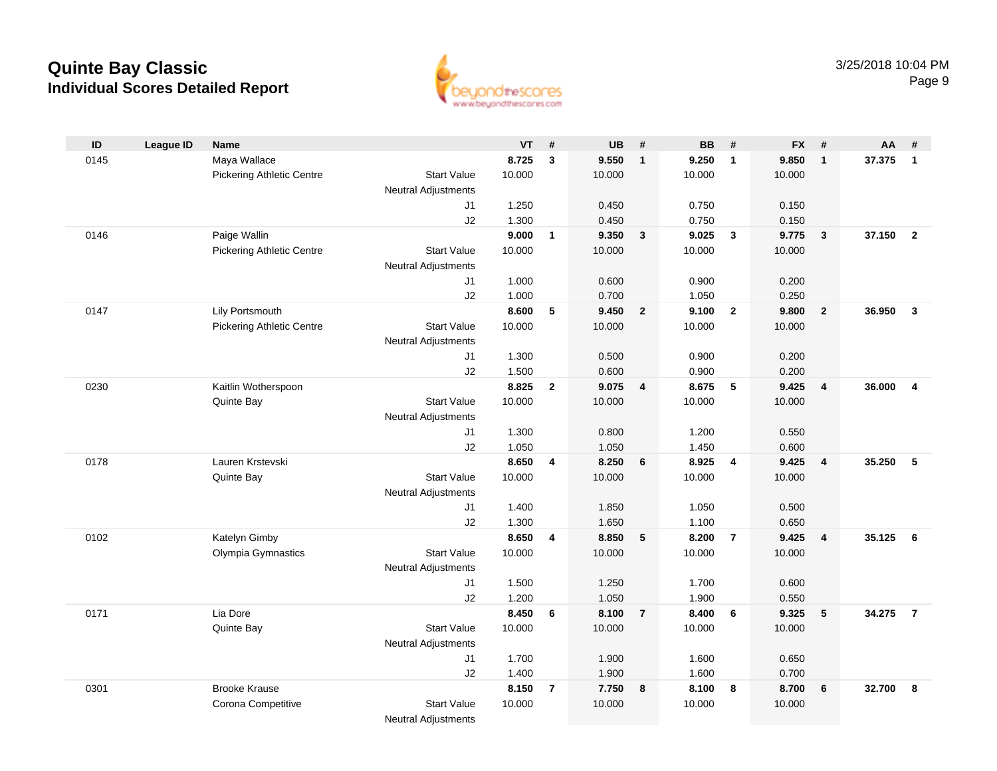

| ID   | <b>League ID</b> | <b>Name</b>                      |                            | <b>VT</b> | #              | <b>UB</b> | #              | <b>BB</b> | #               | <b>FX</b> | #               | <b>AA</b> | #              |
|------|------------------|----------------------------------|----------------------------|-----------|----------------|-----------|----------------|-----------|-----------------|-----------|-----------------|-----------|----------------|
| 0145 |                  | Maya Wallace                     |                            | 8.725     | $\mathbf{3}$   | 9.550     | $\mathbf{1}$   | 9.250     | $\mathbf{1}$    | 9.850     | $\mathbf{1}$    | 37.375    | $\mathbf{1}$   |
|      |                  | <b>Pickering Athletic Centre</b> | <b>Start Value</b>         | 10.000    |                | 10.000    |                | 10.000    |                 | 10.000    |                 |           |                |
|      |                  |                                  | <b>Neutral Adjustments</b> |           |                |           |                |           |                 |           |                 |           |                |
|      |                  |                                  | J1                         | 1.250     |                | 0.450     |                | 0.750     |                 | 0.150     |                 |           |                |
|      |                  |                                  | J2                         | 1.300     |                | 0.450     |                | 0.750     |                 | 0.150     |                 |           |                |
| 0146 |                  | Paige Wallin                     |                            | 9.000     | $\mathbf{1}$   | 9.350     | $\mathbf{3}$   | 9.025     | $\mathbf{3}$    | 9.775     | $\mathbf{3}$    | 37.150    | $\overline{2}$ |
|      |                  | <b>Pickering Athletic Centre</b> | <b>Start Value</b>         | 10.000    |                | 10.000    |                | 10.000    |                 | 10.000    |                 |           |                |
|      |                  |                                  | <b>Neutral Adjustments</b> |           |                |           |                |           |                 |           |                 |           |                |
|      |                  |                                  | J1                         | 1.000     |                | 0.600     |                | 0.900     |                 | 0.200     |                 |           |                |
|      |                  |                                  | J2                         | 1.000     |                | 0.700     |                | 1.050     |                 | 0.250     |                 |           |                |
| 0147 |                  | Lily Portsmouth                  |                            | 8.600     | 5              | 9.450     | $\overline{2}$ | 9.100     | $\overline{2}$  | 9.800     | $\overline{2}$  | 36.950    | $\overline{3}$ |
|      |                  | <b>Pickering Athletic Centre</b> | <b>Start Value</b>         | 10.000    |                | 10.000    |                | 10.000    |                 | 10.000    |                 |           |                |
|      |                  |                                  | <b>Neutral Adjustments</b> |           |                |           |                |           |                 |           |                 |           |                |
|      |                  |                                  | J1                         | 1.300     |                | 0.500     |                | 0.900     |                 | 0.200     |                 |           |                |
|      |                  |                                  | J2                         | 1.500     |                | 0.600     |                | 0.900     |                 | 0.200     |                 |           |                |
| 0230 |                  | Kaitlin Wotherspoon              |                            | 8.825     | $\overline{2}$ | 9.075     | 4              | 8.675     | 5               | 9.425     | $\overline{4}$  | 36.000    | $\overline{4}$ |
|      |                  | Quinte Bay                       | <b>Start Value</b>         | 10.000    |                | 10.000    |                | 10.000    |                 | 10.000    |                 |           |                |
|      |                  |                                  | Neutral Adjustments        |           |                |           |                |           |                 |           |                 |           |                |
|      |                  |                                  | J1                         | 1.300     |                | 0.800     |                | 1.200     |                 | 0.550     |                 |           |                |
|      |                  |                                  | J2                         | 1.050     |                | 1.050     |                | 1.450     |                 | 0.600     |                 |           |                |
| 0178 |                  | Lauren Krstevski                 |                            | 8.650     | 4              | 8.250     | 6              | 8.925     | $\overline{4}$  | 9.425     | $\overline{4}$  | 35.250    | 5              |
|      |                  | Quinte Bay                       | <b>Start Value</b>         | 10.000    |                | 10.000    |                | 10.000    |                 | 10.000    |                 |           |                |
|      |                  |                                  | Neutral Adjustments        |           |                |           |                |           |                 |           |                 |           |                |
|      |                  |                                  | J1                         | 1.400     |                | 1.850     |                | 1.050     |                 | 0.500     |                 |           |                |
|      |                  |                                  | J2                         | 1.300     |                | 1.650     |                | 1.100     |                 | 0.650     |                 |           |                |
| 0102 |                  | Katelyn Gimby                    |                            | 8.650     | 4              | 8.850     | 5              | 8.200     | $\overline{7}$  | 9.425     | $\overline{4}$  | 35.125    | 6              |
|      |                  | Olympia Gymnastics               | <b>Start Value</b>         | 10.000    |                | 10.000    |                | 10.000    |                 | 10.000    |                 |           |                |
|      |                  |                                  | Neutral Adjustments        |           |                |           |                |           |                 |           |                 |           |                |
|      |                  |                                  | J1                         | 1.500     |                | 1.250     |                | 1.700     |                 | 0.600     |                 |           |                |
|      |                  |                                  | J2                         | 1.200     |                | 1.050     |                | 1.900     |                 | 0.550     |                 |           |                |
| 0171 |                  | Lia Dore                         |                            | 8.450     | 6              | 8.100     | $\overline{7}$ | 8.400     | $6\phantom{1}6$ | 9.325     | $5\phantom{.0}$ | 34.275    | $\overline{7}$ |
|      |                  | Quinte Bay                       | <b>Start Value</b>         | 10.000    |                | 10.000    |                | 10.000    |                 | 10.000    |                 |           |                |
|      |                  |                                  | <b>Neutral Adjustments</b> |           |                |           |                |           |                 |           |                 |           |                |
|      |                  |                                  | J1                         | 1.700     |                | 1.900     |                | 1.600     |                 | 0.650     |                 |           |                |
|      |                  |                                  | J2                         | 1.400     |                | 1.900     |                | 1.600     |                 | 0.700     |                 |           |                |
| 0301 |                  | <b>Brooke Krause</b>             |                            | 8.150     | $\overline{7}$ | 7.750     | 8              | 8.100     | 8               | 8.700     | 6               | 32.700    | 8              |
|      |                  | Corona Competitive               | <b>Start Value</b>         | 10.000    |                | 10.000    |                | 10.000    |                 | 10.000    |                 |           |                |
|      |                  |                                  | <b>Neutral Adjustments</b> |           |                |           |                |           |                 |           |                 |           |                |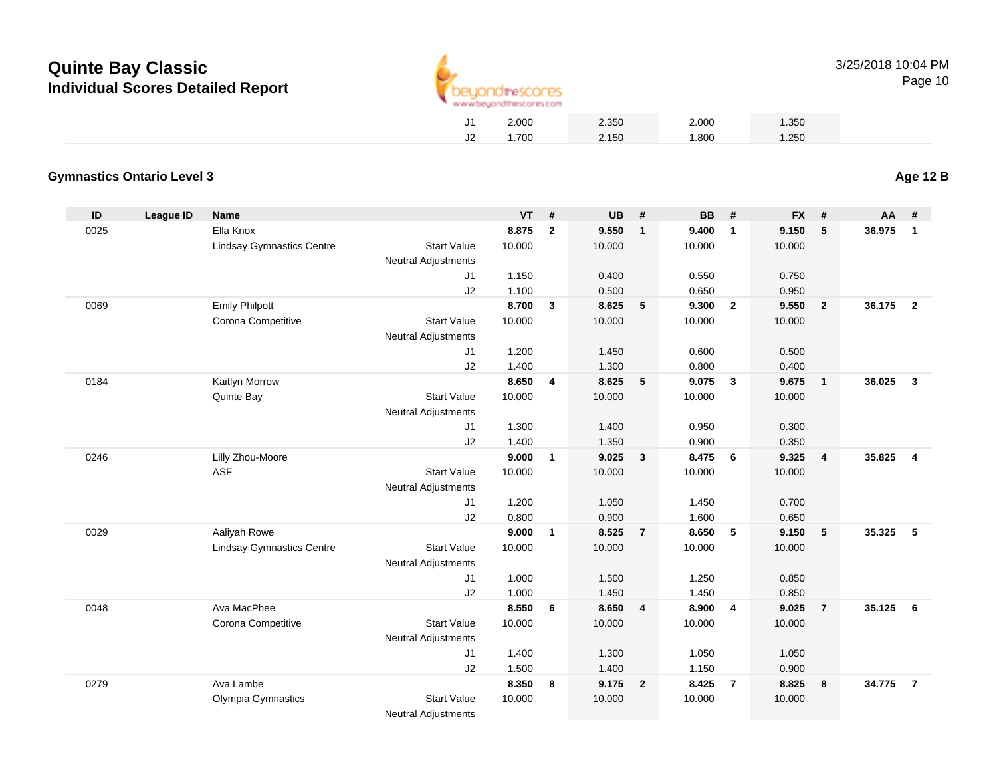

Page 10

|    | 2.000 | 2.350 | 2.000 | 1.350 |
|----|-------|-------|-------|-------|
| J2 | .700  | 2.150 | 1.800 | 1.250 |
|    |       |       |       |       |

#### **Gymnastics Ontario Level 3Age 12 B**

| ID   | <b>League ID</b> | <b>Name</b>                      |                            | <b>VT</b> | #              | <b>UB</b> | #                       | <b>BB</b> | #              | <b>FX</b> | #              | AA     | #                       |
|------|------------------|----------------------------------|----------------------------|-----------|----------------|-----------|-------------------------|-----------|----------------|-----------|----------------|--------|-------------------------|
| 0025 |                  | Ella Knox                        |                            | 8.875     | $\overline{2}$ | 9.550     | $\overline{1}$          | 9.400     | $\overline{1}$ | 9.150     | 5              | 36.975 | $\mathbf{1}$            |
|      |                  | <b>Lindsay Gymnastics Centre</b> | <b>Start Value</b>         | 10.000    |                | 10.000    |                         | 10.000    |                | 10.000    |                |        |                         |
|      |                  |                                  | <b>Neutral Adjustments</b> |           |                |           |                         |           |                |           |                |        |                         |
|      |                  |                                  | J <sub>1</sub>             | 1.150     |                | 0.400     |                         | 0.550     |                | 0.750     |                |        |                         |
|      |                  |                                  | J2                         | 1.100     |                | 0.500     |                         | 0.650     |                | 0.950     |                |        |                         |
| 0069 |                  | <b>Emily Philpott</b>            |                            | 8.700     | $\mathbf{3}$   | 8.625     | 5                       | 9.300     | $\overline{2}$ | 9.550     | $\overline{2}$ | 36.175 | $\overline{2}$          |
|      |                  | Corona Competitive               | <b>Start Value</b>         | 10.000    |                | 10.000    |                         | 10.000    |                | 10.000    |                |        |                         |
|      |                  |                                  | <b>Neutral Adjustments</b> |           |                |           |                         |           |                |           |                |        |                         |
|      |                  |                                  | J <sub>1</sub>             | 1.200     |                | 1.450     |                         | 0.600     |                | 0.500     |                |        |                         |
|      |                  |                                  | J2                         | 1.400     |                | 1.300     |                         | 0.800     |                | 0.400     |                |        |                         |
| 0184 |                  | Kaitlyn Morrow                   |                            | 8.650     | 4              | 8.625     | 5                       | 9.075     | $\mathbf{3}$   | 9.675     | $\overline{1}$ | 36.025 | $\mathbf{3}$            |
|      |                  | Quinte Bay                       | <b>Start Value</b>         | 10.000    |                | 10.000    |                         | 10.000    |                | 10.000    |                |        |                         |
|      |                  |                                  | <b>Neutral Adjustments</b> |           |                |           |                         |           |                |           |                |        |                         |
|      |                  |                                  | J <sub>1</sub>             | 1.300     |                | 1.400     |                         | 0.950     |                | 0.300     |                |        |                         |
|      |                  |                                  | J2                         | 1.400     |                | 1.350     |                         | 0.900     |                | 0.350     |                |        |                         |
| 0246 |                  | Lilly Zhou-Moore                 |                            | 9.000     | $\mathbf{1}$   | 9.025     | $\overline{\mathbf{3}}$ | 8.475     | 6              | 9.325     | $\overline{4}$ | 35.825 | $\overline{\mathbf{4}}$ |
|      |                  | <b>ASF</b>                       | <b>Start Value</b>         | 10.000    |                | 10.000    |                         | 10.000    |                | 10.000    |                |        |                         |
|      |                  |                                  | <b>Neutral Adjustments</b> |           |                |           |                         |           |                |           |                |        |                         |
|      |                  |                                  | J <sub>1</sub>             | 1.200     |                | 1.050     |                         | 1.450     |                | 0.700     |                |        |                         |
|      |                  |                                  | J2                         | 0.800     |                | 0.900     |                         | 1.600     |                | 0.650     |                |        |                         |
| 0029 |                  | Aaliyah Rowe                     |                            | 9.000     | $\mathbf{1}$   | 8.525     | $\overline{7}$          | 8.650     | 5              | 9.150     | 5              | 35.325 | 5                       |
|      |                  | <b>Lindsay Gymnastics Centre</b> | <b>Start Value</b>         | 10.000    |                | 10.000    |                         | 10.000    |                | 10.000    |                |        |                         |
|      |                  |                                  | <b>Neutral Adjustments</b> |           |                |           |                         |           |                |           |                |        |                         |
|      |                  |                                  | J <sub>1</sub>             | 1.000     |                | 1.500     |                         | 1.250     |                | 0.850     |                |        |                         |
|      |                  |                                  | J2                         | 1.000     |                | 1.450     |                         | 1.450     |                | 0.850     |                |        |                         |
| 0048 |                  | Ava MacPhee                      |                            | 8.550     | 6              | 8.650     | $\overline{\mathbf{4}}$ | 8.900     | $\overline{4}$ | 9.025     | $\overline{7}$ | 35.125 | 6                       |
|      |                  | Corona Competitive               | <b>Start Value</b>         | 10.000    |                | 10.000    |                         | 10.000    |                | 10.000    |                |        |                         |
|      |                  |                                  | <b>Neutral Adjustments</b> |           |                |           |                         |           |                |           |                |        |                         |
|      |                  |                                  | J <sub>1</sub>             | 1.400     |                | 1.300     |                         | 1.050     |                | 1.050     |                |        |                         |
|      |                  |                                  | J2                         | 1.500     |                | 1.400     |                         | 1.150     |                | 0.900     |                |        |                         |
| 0279 |                  | Ava Lambe                        |                            | 8.350     | 8              | 9.175     | $\overline{\mathbf{2}}$ | 8.425     | $\overline{7}$ | 8.825     | 8              | 34.775 | $\overline{7}$          |
|      |                  | Olympia Gymnastics               | <b>Start Value</b>         | 10.000    |                | 10.000    |                         | 10.000    |                | 10.000    |                |        |                         |
|      |                  |                                  | Neutral Adjustments        |           |                |           |                         |           |                |           |                |        |                         |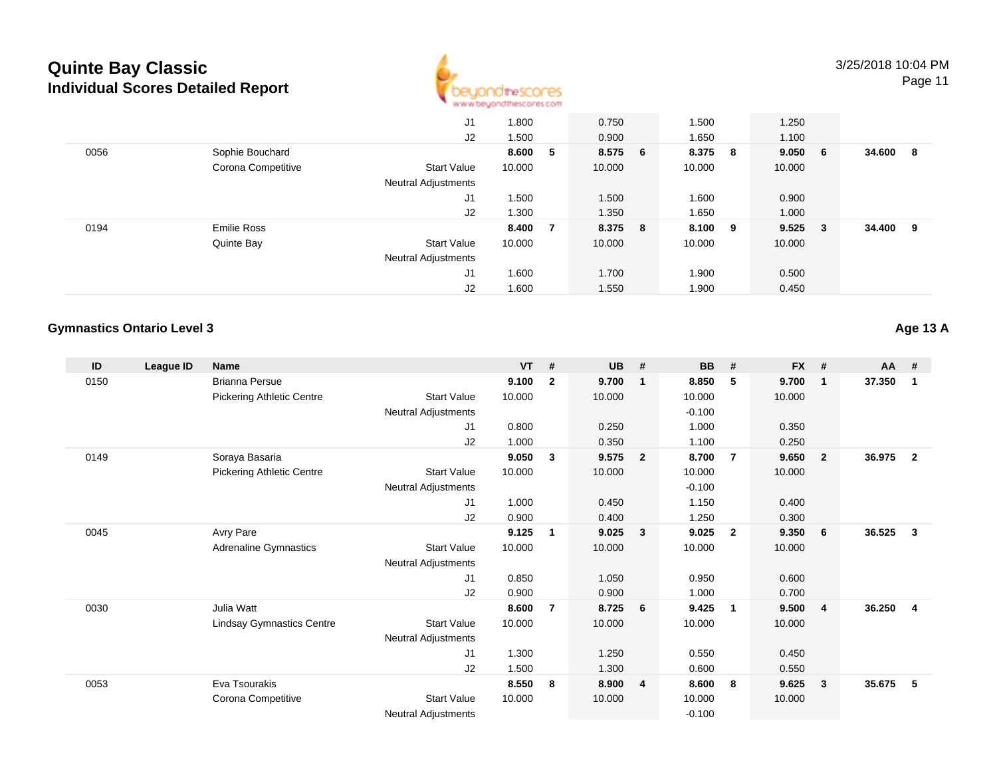

Page 11

|      |                    | J1                         | 1.800  |   | 0.750   | 1.500   | 1.250     |        |     |
|------|--------------------|----------------------------|--------|---|---------|---------|-----------|--------|-----|
|      |                    | J2                         | 1.500  |   | 0.900   | 1.650   | 1.100     |        |     |
| 0056 | Sophie Bouchard    |                            | 8.600  | 5 | 8.575 6 | 8.375 8 | 9.050 6   | 34.600 | - 8 |
|      | Corona Competitive | <b>Start Value</b>         | 10.000 |   | 10.000  | 10.000  | 10.000    |        |     |
|      |                    | <b>Neutral Adjustments</b> |        |   |         |         |           |        |     |
|      |                    | J1                         | 1.500  |   | 1.500   | 1.600   | 0.900     |        |     |
|      |                    | J2                         | 1.300  |   | 1.350   | 1.650   | 1.000     |        |     |
| 0194 | <b>Emilie Ross</b> |                            | 8.400  | 7 | 8.375 8 | 8.100 9 | $9.525$ 3 | 34.400 | - 9 |
|      | Quinte Bay         | <b>Start Value</b>         | 10.000 |   | 10.000  | 10.000  | 10.000    |        |     |
|      |                    | <b>Neutral Adjustments</b> |        |   |         |         |           |        |     |
|      |                    | J1                         | 1.600  |   | 1.700   | 1.900   | 0.500     |        |     |
|      |                    | J2                         | 1.600  |   | 1.550   | 1.900   | 0.450     |        |     |

### **Gymnastics Ontario Level 3**

**Age 13 A**

| ID   | League ID | Name                             |                            | <b>VT</b> | #              | <b>UB</b> | #                       | <b>BB</b> | #                       | <b>FX</b> | #              | <b>AA</b> | #              |
|------|-----------|----------------------------------|----------------------------|-----------|----------------|-----------|-------------------------|-----------|-------------------------|-----------|----------------|-----------|----------------|
| 0150 |           | <b>Brianna Persue</b>            |                            | 9.100     | $\mathbf{2}$   | 9.700     | $\mathbf{1}$            | 8.850     | 5                       | 9.700     | $\mathbf{1}$   | 37.350    | 1              |
|      |           | <b>Pickering Athletic Centre</b> | <b>Start Value</b>         | 10.000    |                | 10.000    |                         | 10.000    |                         | 10.000    |                |           |                |
|      |           |                                  | <b>Neutral Adjustments</b> |           |                |           |                         | $-0.100$  |                         |           |                |           |                |
|      |           |                                  | J1                         | 0.800     |                | 0.250     |                         | 1.000     |                         | 0.350     |                |           |                |
|      |           |                                  | J2                         | 1.000     |                | 0.350     |                         | 1.100     |                         | 0.250     |                |           |                |
| 0149 |           | Soraya Basaria                   |                            | 9.050     | 3              | 9.575     | $\overline{2}$          | 8.700     | $\overline{7}$          | 9.650     | $\overline{2}$ | 36.975    | $\overline{2}$ |
|      |           | <b>Pickering Athletic Centre</b> | <b>Start Value</b>         | 10.000    |                | 10.000    |                         | 10.000    |                         | 10.000    |                |           |                |
|      |           |                                  | <b>Neutral Adjustments</b> |           |                |           |                         | $-0.100$  |                         |           |                |           |                |
|      |           |                                  | J1                         | 1.000     |                | 0.450     |                         | 1.150     |                         | 0.400     |                |           |                |
|      |           |                                  | J2                         | 0.900     |                | 0.400     |                         | 1.250     |                         | 0.300     |                |           |                |
| 0045 |           | Avry Pare                        |                            | 9.125     | $\mathbf 1$    | 9.025     | $\overline{\mathbf{3}}$ | 9.025     | $\overline{2}$          | 9.350     | 6              | 36.525    | 3              |
|      |           | Adrenaline Gymnastics            | <b>Start Value</b>         | 10.000    |                | 10.000    |                         | 10.000    |                         | 10.000    |                |           |                |
|      |           |                                  | <b>Neutral Adjustments</b> |           |                |           |                         |           |                         |           |                |           |                |
|      |           |                                  | J1                         | 0.850     |                | 1.050     |                         | 0.950     |                         | 0.600     |                |           |                |
|      |           |                                  | J2                         | 0.900     |                | 0.900     |                         | 1.000     |                         | 0.700     |                |           |                |
| 0030 |           | Julia Watt                       |                            | 8.600     | $\overline{7}$ | 8.725     | - 6                     | 9.425     | $\overline{\mathbf{1}}$ | 9.500     | $\overline{4}$ | 36.250    | 4              |
|      |           | Lindsay Gymnastics Centre        | <b>Start Value</b>         | 10.000    |                | 10.000    |                         | 10.000    |                         | 10.000    |                |           |                |
|      |           |                                  | <b>Neutral Adjustments</b> |           |                |           |                         |           |                         |           |                |           |                |
|      |           |                                  | J1                         | 1.300     |                | 1.250     |                         | 0.550     |                         | 0.450     |                |           |                |
|      |           |                                  | J2                         | 1.500     |                | 1.300     |                         | 0.600     |                         | 0.550     |                |           |                |
| 0053 |           | Eva Tsourakis                    |                            | 8.550     | 8              | 8.900     | $\overline{4}$          | 8.600     | - 8                     | 9.625     | 3              | 35.675    | 5              |
|      |           | Corona Competitive               | <b>Start Value</b>         | 10.000    |                | 10.000    |                         | 10.000    |                         | 10.000    |                |           |                |
|      |           |                                  | <b>Neutral Adjustments</b> |           |                |           |                         | $-0.100$  |                         |           |                |           |                |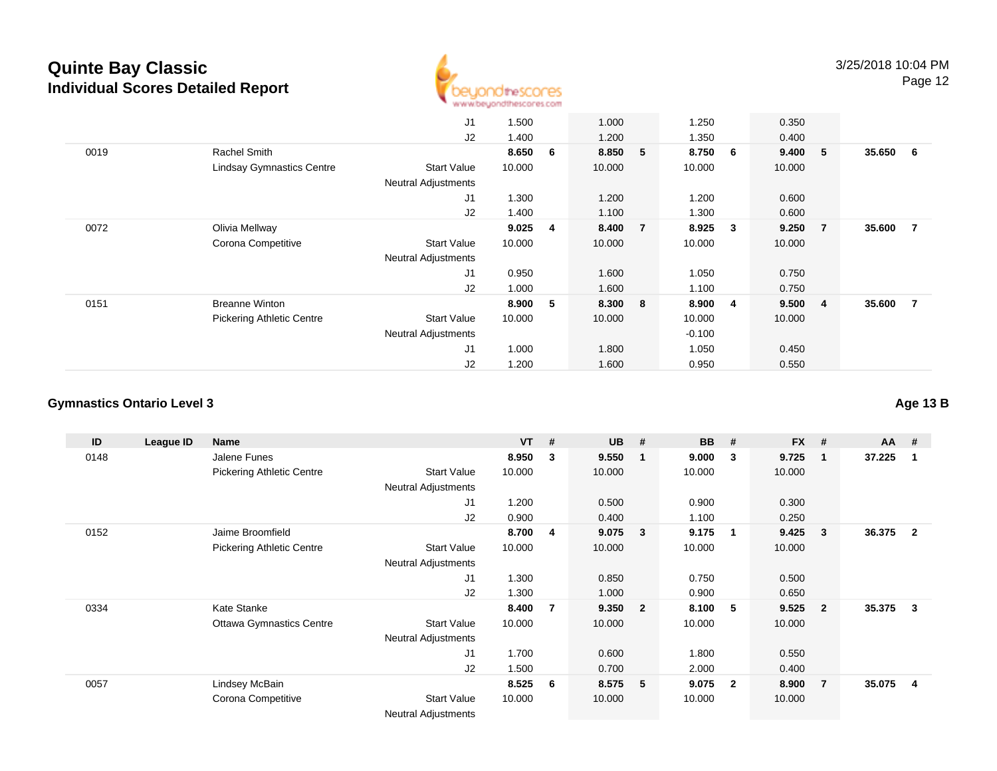

|      |                                  | J1                         | 1.500  |   | 1.000   |                | 1.250    |     | 0.350   |                |          |                |
|------|----------------------------------|----------------------------|--------|---|---------|----------------|----------|-----|---------|----------------|----------|----------------|
|      |                                  | J2                         | 1.400  |   | 1.200   |                | 1.350    |     | 0.400   |                |          |                |
| 0019 | Rachel Smith                     |                            | 8.650  | 6 | 8.850 5 |                | 8.750    | - 6 | 9.400 5 |                | 35.650 6 |                |
|      | <b>Lindsay Gymnastics Centre</b> | <b>Start Value</b>         | 10.000 |   | 10.000  |                | 10.000   |     | 10.000  |                |          |                |
|      |                                  | <b>Neutral Adjustments</b> |        |   |         |                |          |     |         |                |          |                |
|      |                                  | J1                         | 1.300  |   | 1.200   |                | 1.200    |     | 0.600   |                |          |                |
|      |                                  | J2                         | 1.400  |   | 1.100   |                | 1.300    |     | 0.600   |                |          |                |
| 0072 | Olivia Mellway                   |                            | 9.025  | 4 | 8.400   | $\overline{7}$ | 8.925    | 3   | 9.250   | $\overline{7}$ | 35.600   | $\overline{7}$ |
|      | Corona Competitive               | <b>Start Value</b>         | 10.000 |   | 10.000  |                | 10.000   |     | 10.000  |                |          |                |
|      |                                  | <b>Neutral Adjustments</b> |        |   |         |                |          |     |         |                |          |                |
|      |                                  | J1                         | 0.950  |   | 1.600   |                | 1.050    |     | 0.750   |                |          |                |
|      |                                  | J2                         | 1.000  |   | 1.600   |                | 1.100    |     | 0.750   |                |          |                |
| 0151 | <b>Breanne Winton</b>            |                            | 8.900  | 5 | 8.300   | 8              | 8.900    | 4   | 9.500   | $\overline{4}$ | 35.600   | $\overline{7}$ |
|      | <b>Pickering Athletic Centre</b> | <b>Start Value</b>         | 10.000 |   | 10.000  |                | 10.000   |     | 10.000  |                |          |                |
|      |                                  | <b>Neutral Adjustments</b> |        |   |         |                | $-0.100$ |     |         |                |          |                |
|      |                                  | J <sub>1</sub>             | 1.000  |   | 1.800   |                | 1.050    |     | 0.450   |                |          |                |
|      |                                  | J2                         | 1.200  |   | 1.600   |                | 0.950    |     | 0.550   |                |          |                |

### **Gymnastics Ontario Level 3**

| ID   | League ID | Name                             |                            | $VT$ # |     | <b>UB</b> | $-$ #                   | <b>BB</b> | #                       | <b>FX</b> | #              | $AA$ # |                |
|------|-----------|----------------------------------|----------------------------|--------|-----|-----------|-------------------------|-----------|-------------------------|-----------|----------------|--------|----------------|
| 0148 |           | Jalene Funes                     |                            | 8.950  | 3   | 9.550     |                         | 9.000     | $\mathbf{3}$            | 9.725     | $\mathbf 1$    | 37.225 |                |
|      |           | <b>Pickering Athletic Centre</b> | <b>Start Value</b>         | 10.000 |     | 10.000    |                         | 10.000    |                         | 10.000    |                |        |                |
|      |           |                                  | <b>Neutral Adjustments</b> |        |     |           |                         |           |                         |           |                |        |                |
|      |           |                                  | J <sub>1</sub>             | 1.200  |     | 0.500     |                         | 0.900     |                         | 0.300     |                |        |                |
|      |           |                                  | J2                         | 0.900  |     | 0.400     |                         | 1.100     |                         | 0.250     |                |        |                |
| 0152 |           | Jaime Broomfield                 |                            | 8.700  | 4   | 9.075     | 3                       | 9.175     | - 1                     | 9.425     | 3              | 36.375 | $\overline{2}$ |
|      |           | <b>Pickering Athletic Centre</b> | <b>Start Value</b>         | 10.000 |     | 10.000    |                         | 10.000    |                         | 10.000    |                |        |                |
|      |           |                                  | <b>Neutral Adjustments</b> |        |     |           |                         |           |                         |           |                |        |                |
|      |           |                                  | J <sub>1</sub>             | 1.300  |     | 0.850     |                         | 0.750     |                         | 0.500     |                |        |                |
|      |           |                                  | J2                         | 1.300  |     | 1.000     |                         | 0.900     |                         | 0.650     |                |        |                |
| 0334 |           | Kate Stanke                      |                            | 8.400  | 7   | 9.350     | $\overline{\mathbf{2}}$ | 8.100     | - 5                     | 9.525     | $\overline{2}$ | 35.375 | 3              |
|      |           | <b>Ottawa Gymnastics Centre</b>  | <b>Start Value</b>         | 10.000 |     | 10.000    |                         | 10.000    |                         | 10.000    |                |        |                |
|      |           |                                  | <b>Neutral Adjustments</b> |        |     |           |                         |           |                         |           |                |        |                |
|      |           |                                  | J1                         | 1.700  |     | 0.600     |                         | 1.800     |                         | 0.550     |                |        |                |
|      |           |                                  | J2                         | 1.500  |     | 0.700     |                         | 2.000     |                         | 0.400     |                |        |                |
| 0057 |           | Lindsey McBain                   |                            | 8.525  | - 6 | 8.575     | - 5                     | 9.075     | $\overline{\mathbf{2}}$ | 8.900     | $\overline{7}$ | 35.075 | 4              |
|      |           | Corona Competitive               | <b>Start Value</b>         | 10.000 |     | 10.000    |                         | 10.000    |                         | 10.000    |                |        |                |
|      |           |                                  | <b>Neutral Adjustments</b> |        |     |           |                         |           |                         |           |                |        |                |

**Age 13 B**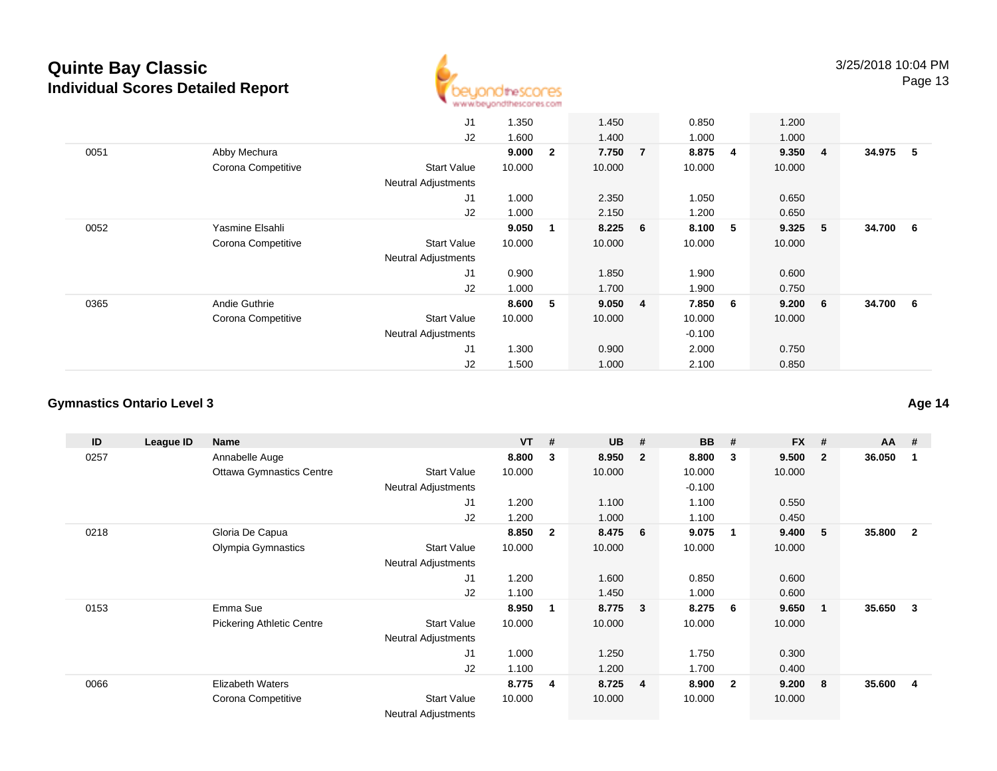

|      |                    | J1                         | 1.350  |              | 1.450     |                | 0.850    |                | 1.200  |                |        |     |
|------|--------------------|----------------------------|--------|--------------|-----------|----------------|----------|----------------|--------|----------------|--------|-----|
|      |                    | J2                         | 1.600  |              | 1.400     |                | 1.000    |                | 1.000  |                |        |     |
| 0051 | Abby Mechura       |                            | 9.000  | $\mathbf{2}$ | 7.750     | $\overline{7}$ | 8.875    | $\overline{4}$ | 9.350  | $\overline{4}$ | 34.975 | - 5 |
|      | Corona Competitive | <b>Start Value</b>         | 10.000 |              | 10.000    |                | 10.000   |                | 10.000 |                |        |     |
|      |                    | <b>Neutral Adjustments</b> |        |              |           |                |          |                |        |                |        |     |
|      |                    | J <sub>1</sub>             | 1.000  |              | 2.350     |                | 1.050    |                | 0.650  |                |        |     |
|      |                    | J2                         | 1.000  |              | 2.150     |                | 1.200    |                | 0.650  |                |        |     |
| 0052 | Yasmine Elsahli    |                            | 9.050  | 1            | $8.225$ 6 |                | 8.100    | 5              | 9.325  | 5              | 34.700 | 6   |
|      | Corona Competitive | <b>Start Value</b>         | 10.000 |              | 10.000    |                | 10.000   |                | 10.000 |                |        |     |
|      |                    | <b>Neutral Adjustments</b> |        |              |           |                |          |                |        |                |        |     |
|      |                    | J <sub>1</sub>             | 0.900  |              | 1.850     |                | 1.900    |                | 0.600  |                |        |     |
|      |                    | J2                         | 1.000  |              | 1.700     |                | 1.900    |                | 0.750  |                |        |     |
| 0365 | Andie Guthrie      |                            | 8.600  | 5            | 9.050 4   |                | 7.850    | 6              | 9.200  | - 6            | 34.700 | 6   |
|      | Corona Competitive | <b>Start Value</b>         | 10.000 |              | 10.000    |                | 10.000   |                | 10.000 |                |        |     |
|      |                    | <b>Neutral Adjustments</b> |        |              |           |                | $-0.100$ |                |        |                |        |     |
|      |                    | J <sub>1</sub>             | 1.300  |              | 0.900     |                | 2.000    |                | 0.750  |                |        |     |
|      |                    | J2                         | 1.500  |              | 1.000     |                | 2.100    |                | 0.850  |                |        |     |

### **Gymnastics Ontario Level 3**

| ID   | League ID | Name                             |                            | <b>VT</b> | #            | <b>UB</b> | #                       | <b>BB</b> | #                       | <b>FX</b> | #              | $AA$ # |              |
|------|-----------|----------------------------------|----------------------------|-----------|--------------|-----------|-------------------------|-----------|-------------------------|-----------|----------------|--------|--------------|
| 0257 |           | Annabelle Auge                   |                            | 8.800     | 3            | 8.950     | $\overline{\mathbf{2}}$ | 8.800     | $\mathbf{3}$            | 9.500     | $\overline{2}$ | 36.050 | 1            |
|      |           | <b>Ottawa Gymnastics Centre</b>  | <b>Start Value</b>         | 10.000    |              | 10.000    |                         | 10.000    |                         | 10.000    |                |        |              |
|      |           |                                  | Neutral Adjustments        |           |              |           |                         | $-0.100$  |                         |           |                |        |              |
|      |           |                                  | J1                         | 1.200     |              | 1.100     |                         | 1.100     |                         | 0.550     |                |        |              |
|      |           |                                  | J2                         | 1.200     |              | 1.000     |                         | 1.100     |                         | 0.450     |                |        |              |
| 0218 |           | Gloria De Capua                  |                            | 8.850     | $\mathbf{2}$ | 8.475     | 6                       | 9.075     | $\overline{1}$          | 9.400     | 5              | 35.800 | $\mathbf{2}$ |
|      |           | Olympia Gymnastics               | <b>Start Value</b>         | 10.000    |              | 10.000    |                         | 10.000    |                         | 10.000    |                |        |              |
|      |           |                                  | <b>Neutral Adjustments</b> |           |              |           |                         |           |                         |           |                |        |              |
|      |           |                                  | J1                         | 1.200     |              | 1.600     |                         | 0.850     |                         | 0.600     |                |        |              |
|      |           |                                  | J2                         | 1.100     |              | 1.450     |                         | 1.000     |                         | 0.600     |                |        |              |
| 0153 |           | Emma Sue                         |                            | 8.950     | 1            | 8.775     | $\mathbf{3}$            | 8.275     | - 6                     | 9.650     | $\mathbf{1}$   | 35.650 | $\mathbf{3}$ |
|      |           | <b>Pickering Athletic Centre</b> | <b>Start Value</b>         | 10.000    |              | 10.000    |                         | 10.000    |                         | 10.000    |                |        |              |
|      |           |                                  | <b>Neutral Adjustments</b> |           |              |           |                         |           |                         |           |                |        |              |
|      |           |                                  | J1                         | 1.000     |              | 1.250     |                         | 1.750     |                         | 0.300     |                |        |              |
|      |           |                                  | J2                         | 1.100     |              | 1.200     |                         | 1.700     |                         | 0.400     |                |        |              |
| 0066 |           | <b>Elizabeth Waters</b>          |                            | 8.775     | -4           | 8.725     | $\overline{4}$          | 8.900     | $\overline{\mathbf{2}}$ | 9.200     | 8              | 35.600 | 4            |
|      |           | Corona Competitive               | <b>Start Value</b>         | 10.000    |              | 10.000    |                         | 10.000    |                         | 10.000    |                |        |              |
|      |           |                                  | <b>Neutral Adjustments</b> |           |              |           |                         |           |                         |           |                |        |              |

**Age 14**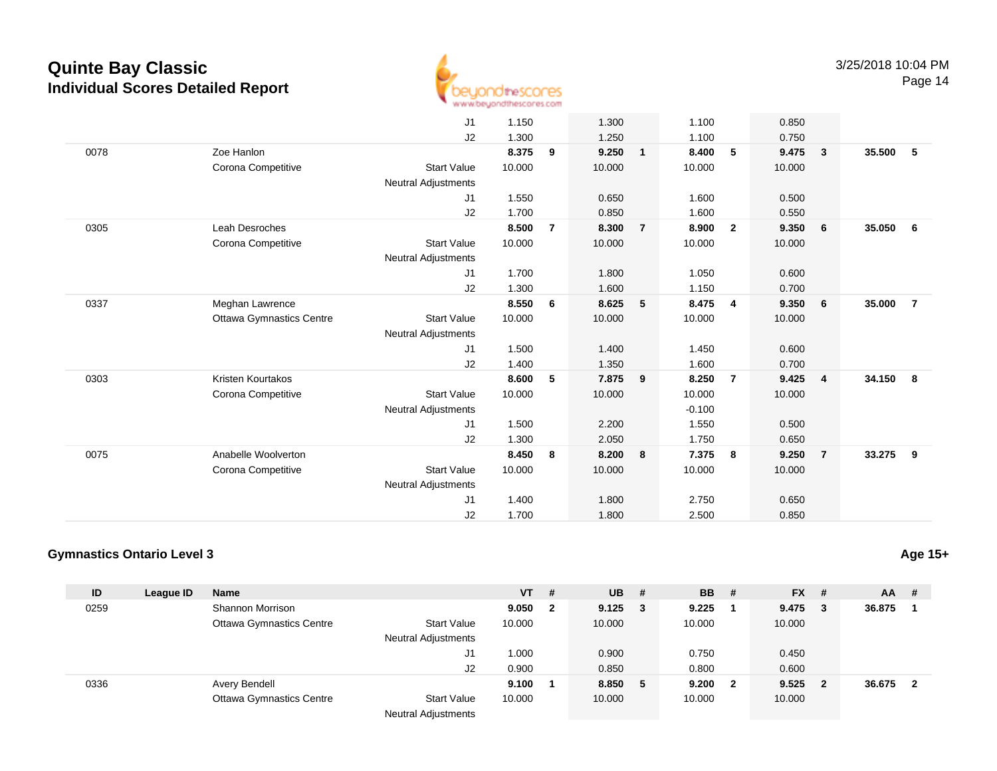

Page 14

|      |                                 | J <sub>1</sub>             | 1.150  |                | 1.300  |                | 1.100    |                         | 0.850  |                         |        |                |
|------|---------------------------------|----------------------------|--------|----------------|--------|----------------|----------|-------------------------|--------|-------------------------|--------|----------------|
|      |                                 | J2                         | 1.300  |                | 1.250  |                | 1.100    |                         | 0.750  |                         |        |                |
| 0078 | Zoe Hanlon                      |                            | 8.375  | 9              | 9.250  | $\mathbf{1}$   | 8.400    | 5                       | 9.475  | $\overline{\mathbf{3}}$ | 35.500 | 5              |
|      | Corona Competitive              | <b>Start Value</b>         | 10.000 |                | 10.000 |                | 10.000   |                         | 10.000 |                         |        |                |
|      |                                 | <b>Neutral Adjustments</b> |        |                |        |                |          |                         |        |                         |        |                |
|      |                                 | J1                         | 1.550  |                | 0.650  |                | 1.600    |                         | 0.500  |                         |        |                |
|      |                                 | J2                         | 1.700  |                | 0.850  |                | 1.600    |                         | 0.550  |                         |        |                |
| 0305 | <b>Leah Desroches</b>           |                            | 8.500  | $\overline{7}$ | 8.300  | $\overline{7}$ | 8.900    | $\overline{\mathbf{2}}$ | 9.350  | $6\phantom{.0}6$        | 35.050 | 6              |
|      | Corona Competitive              | <b>Start Value</b>         | 10.000 |                | 10.000 |                | 10.000   |                         | 10.000 |                         |        |                |
|      |                                 | <b>Neutral Adjustments</b> |        |                |        |                |          |                         |        |                         |        |                |
|      |                                 | J1                         | 1.700  |                | 1.800  |                | 1.050    |                         | 0.600  |                         |        |                |
|      |                                 | J2                         | 1.300  |                | 1.600  |                | 1.150    |                         | 0.700  |                         |        |                |
| 0337 | Meghan Lawrence                 |                            | 8.550  | 6              | 8.625  | 5              | 8.475    | $\overline{4}$          | 9.350  | 6                       | 35.000 | $\overline{7}$ |
|      | <b>Ottawa Gymnastics Centre</b> | <b>Start Value</b>         | 10.000 |                | 10.000 |                | 10.000   |                         | 10.000 |                         |        |                |
|      |                                 | <b>Neutral Adjustments</b> |        |                |        |                |          |                         |        |                         |        |                |
|      |                                 | J1                         | 1.500  |                | 1.400  |                | 1.450    |                         | 0.600  |                         |        |                |
|      |                                 | J2                         | 1.400  |                | 1.350  |                | 1.600    |                         | 0.700  |                         |        |                |
| 0303 | Kristen Kourtakos               |                            | 8.600  | 5              | 7.875  | 9              | 8.250    | $\overline{7}$          | 9.425  | $\overline{4}$          | 34.150 | - 8            |
|      | Corona Competitive              | <b>Start Value</b>         | 10.000 |                | 10.000 |                | 10.000   |                         | 10.000 |                         |        |                |
|      |                                 | <b>Neutral Adjustments</b> |        |                |        |                | $-0.100$ |                         |        |                         |        |                |
|      |                                 | J1                         | 1.500  |                | 2.200  |                | 1.550    |                         | 0.500  |                         |        |                |
|      |                                 | J2                         | 1.300  |                | 2.050  |                | 1.750    |                         | 0.650  |                         |        |                |
| 0075 | Anabelle Woolverton             |                            | 8.450  | 8              | 8.200  | 8              | 7.375    | 8                       | 9.250  | $\overline{7}$          | 33.275 | 9              |
|      | Corona Competitive              | <b>Start Value</b>         | 10.000 |                | 10.000 |                | 10.000   |                         | 10.000 |                         |        |                |
|      |                                 | <b>Neutral Adjustments</b> |        |                |        |                |          |                         |        |                         |        |                |
|      |                                 | J1                         | 1.400  |                | 1.800  |                | 2.750    |                         | 0.650  |                         |        |                |
|      |                                 | J2                         | 1.700  |                | 1.800  |                | 2.500    |                         | 0.850  |                         |        |                |
|      |                                 |                            |        |                |        |                |          |                         |        |                         |        |                |

### **Gymnastics Ontario Level 3**

| ID   | League ID | <b>Name</b>                     |                            | <b>VT</b> | #            | <b>UB</b>       | #  | <b>BB</b> # |              | $FX$ #    | AA     | - #                     |
|------|-----------|---------------------------------|----------------------------|-----------|--------------|-----------------|----|-------------|--------------|-----------|--------|-------------------------|
| 0259 |           | Shannon Morrison                |                            | 9.050     | $\mathbf{2}$ | $9.125 \quad 3$ |    | 9.225       |              | $9.475$ 3 | 36.875 |                         |
|      |           | <b>Ottawa Gymnastics Centre</b> | <b>Start Value</b>         | 10.000    |              | 10.000          |    | 10.000      |              | 10.000    |        |                         |
|      |           |                                 | <b>Neutral Adjustments</b> |           |              |                 |    |             |              |           |        |                         |
|      |           |                                 | J1                         | 1.000     |              | 0.900           |    | 0.750       |              | 0.450     |        |                         |
|      |           |                                 | J2                         | 0.900     |              | 0.850           |    | 0.800       |              | 0.600     |        |                         |
| 0336 |           | Avery Bendell                   |                            | 9.100     |              | 8.850           | -5 | 9.200       | $\mathbf{2}$ | $9.525$ 2 | 36.675 | $\overline{\mathbf{2}}$ |
|      |           | <b>Ottawa Gymnastics Centre</b> | <b>Start Value</b>         | 10.000    |              | 10.000          |    | 10.000      |              | 10.000    |        |                         |
|      |           |                                 | <b>Neutral Adjustments</b> |           |              |                 |    |             |              |           |        |                         |

**Age 15+**